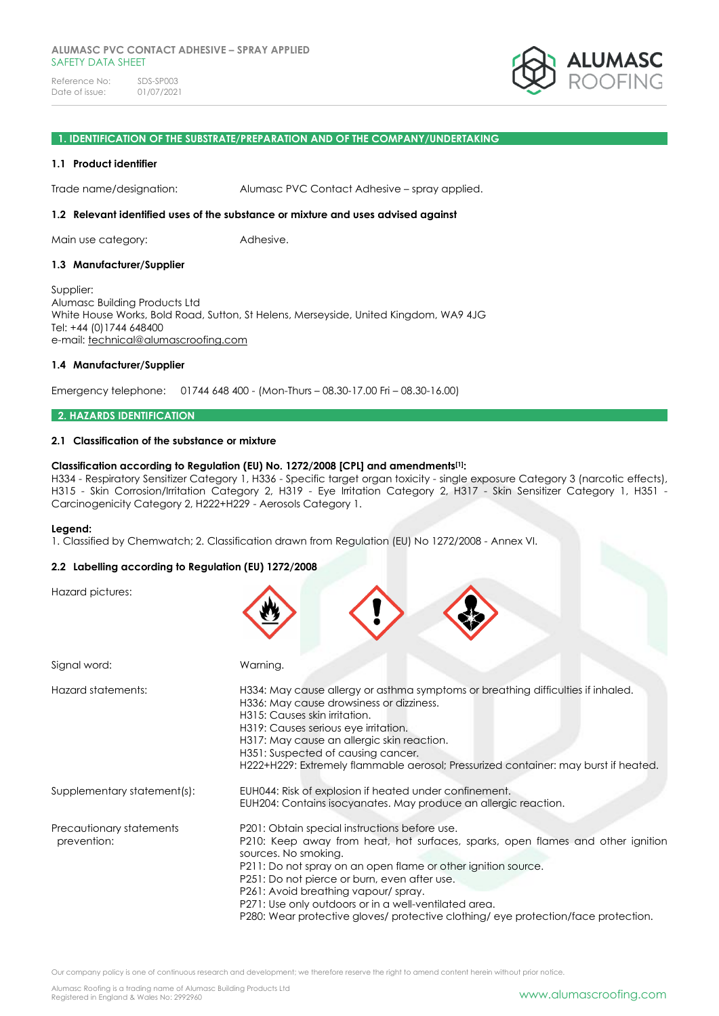

### **1. IDENTIFICATION OF THE SUBSTRATE/PREPARATION AND OF THE COMPANY/UNDERTAKING**

#### **1.1 Product identifier**

Trade name/designation: Alumasc PVC Contact Adhesive – spray applied.

#### **1.2 Relevant identified uses of the substance or mixture and uses advised against**

Main use category: **Adhesive.** 

#### **1.3 Manufacturer/Supplier**

Supplier: Alumasc Building Products Ltd White House Works, Bold Road, Sutton, St Helens, Merseyside, United Kingdom, WA9 4JG Tel: +44 (0)1744 648400 e-mail: [technical@alumascroofing.com](mailto:technical@alumascroofing.com)

#### **1.4 Manufacturer/Supplier**

Emergency telephone: 01744 648 400 - (Mon-Thurs – 08.30-17.00 Fri – 08.30-16.00)

### **2. HAZARDS IDENTIFICATION**

#### **2.1 Classification of the substance or mixture**

#### **Classification according to Regulation (EU) No. 1272/2008 [CPL] and amendments[1]:**

H334 - Respiratory Sensitizer Category 1, H336 - Specific target organ toxicity - single exposure Category 3 (narcotic effects), H315 - Skin Corrosion/Irritation Category 2, H319 - Eye Irritation Category 2, H317 - Skin Sensitizer Category 1, H351 - Carcinogenicity Category 2, H222+H229 - Aerosols Category 1.

#### **Legend:**

1. Classified by Chemwatch; 2. Classification drawn from Regulation (EU) No 1272/2008 - Annex VI.

### **2.2 Labelling according to Regulation (EU) 1272/2008**

Hazard pictures:

| Signal word:                            | Warning.                                                                                                                                                                                                                                                                                                                                                                                                                                                        |
|-----------------------------------------|-----------------------------------------------------------------------------------------------------------------------------------------------------------------------------------------------------------------------------------------------------------------------------------------------------------------------------------------------------------------------------------------------------------------------------------------------------------------|
| Hazard statements:                      | H334: May cause allergy or asthma symptoms or breathing difficulties if inhaled.<br>H336: May cause drowsiness or dizziness.<br>H315: Causes skin irritation.<br>H319: Causes serious eye irritation.<br>H317: May cause an allergic skin reaction.<br>H351: Suspected of causing cancer.<br>H222+H229: Extremely flammable aerosol; Pressurized container: may burst if heated.                                                                                |
| Supplementary statement(s):             | EUH044: Risk of explosion if heated under confinement.<br>EUH204: Contains isocyanates. May produce an allergic reaction.                                                                                                                                                                                                                                                                                                                                       |
| Precautionary statements<br>prevention: | P201: Obtain special instructions before use.<br>P210: Keep away from heat, hot surfaces, sparks, open flames and other ignition<br>sources. No smoking.<br>P211: Do not spray on an open flame or other ignition source.<br>P251: Do not pierce or burn, even after use.<br>P261: Avoid breathing vapour/spray.<br>P271: Use only outdoors or in a well-ventilated area.<br>P280: Wear protective gloves/ protective clothing/ eye protection/face protection. |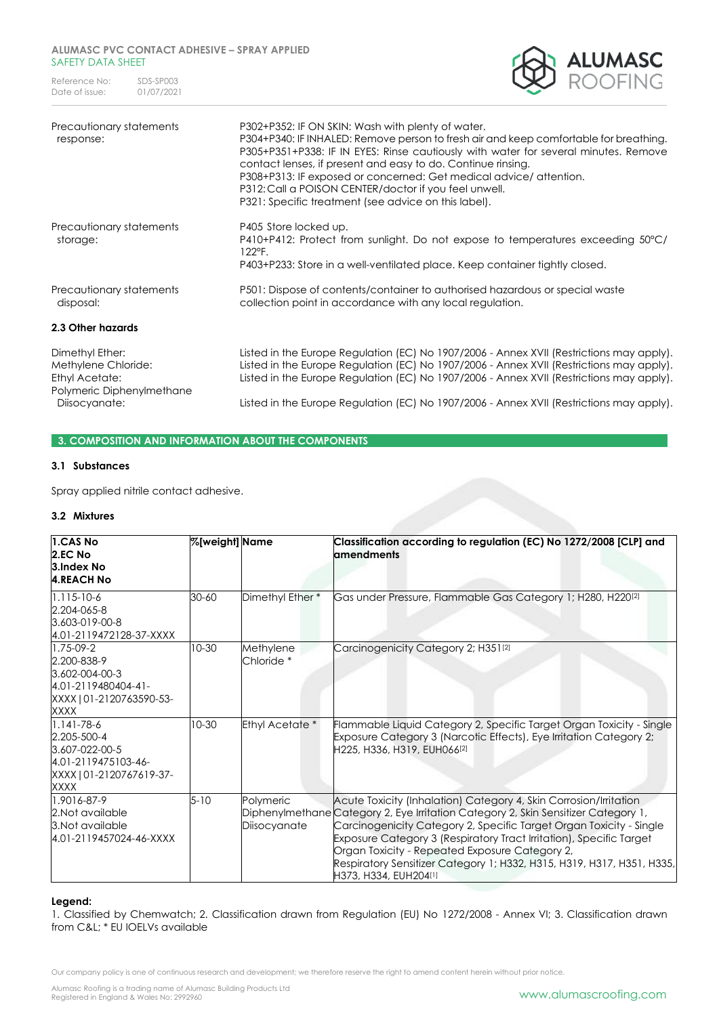Reference No: SDS-SP003<br>Date of issue: 01/07/2021 Date of issue:



| Precautionary statements<br>response:                    | P302+P352: IF ON SKIN: Wash with plenty of water.<br>P304+P340: IF INHALED: Remove person to fresh air and keep comfortable for breathing.<br>P305+P351+P338: IF IN EYES: Rinse cautiously with water for several minutes. Remove<br>contact lenses, if present and easy to do. Continue rinsing.<br>P308+P313: IF exposed or concerned: Get medical advice/attention.<br>P312: Call a POISON CENTER/doctor if you feel unwell.<br>P321: Specific treatment (see advice on this label). |
|----------------------------------------------------------|-----------------------------------------------------------------------------------------------------------------------------------------------------------------------------------------------------------------------------------------------------------------------------------------------------------------------------------------------------------------------------------------------------------------------------------------------------------------------------------------|
| Precautionary statements<br>storage:                     | P405 Store locked up.<br>P410+P412: Protect from sunlight. Do not expose to temperatures exceeding 50°C/<br>122°F.<br>P403+P233: Store in a well-ventilated place. Keep container tightly closed.                                                                                                                                                                                                                                                                                       |
| Precautionary statements<br>disposal:                    | P501: Dispose of contents/container to authorised hazardous or special waste<br>collection point in accordance with any local regulation.                                                                                                                                                                                                                                                                                                                                               |
| 2.3 Other hazards                                        |                                                                                                                                                                                                                                                                                                                                                                                                                                                                                         |
| Dimethyl Ether:<br>Methylene Chloride:<br>Ethyl Acetate: | Listed in the Europe Regulation (EC) No 1907/2006 - Annex XVII (Restrictions may apply).<br>Listed in the Europe Regulation (EC) No 1907/2006 - Annex XVII (Restrictions may apply).<br>Listed in the Europe Regulation (EC) No 1907/2006 - Annex XVII (Restrictions may apply).                                                                                                                                                                                                        |

Diisocyanate: Listed in the Europe Regulation (EC) No 1907/2006 - Annex XVII (Restrictions may apply).

### **3. COMPOSITION AND INFORMATION ABOUT THE COMPONENTS**

### **3.1 Substances**

Polymeric Diphenylmethane

Spray applied nitrile contact adhesive.

### **3.2 Mixtures**

| 1.CAS No<br>2.EC No<br>3.Index No<br><b>4.REACH No</b>                                                       | %[weight] Name |                                    | Classification according to regulation (EC) No 1272/2008 [CLP] and<br>amendments                                                                                                                                                                                                                                                                                                                                                                           |
|--------------------------------------------------------------------------------------------------------------|----------------|------------------------------------|------------------------------------------------------------------------------------------------------------------------------------------------------------------------------------------------------------------------------------------------------------------------------------------------------------------------------------------------------------------------------------------------------------------------------------------------------------|
| $1.115 - 10 - 6$<br>2.204-065-8<br>3.603-019-00-8<br>4.01-2119472128-37-XXXX                                 | 30-60          | Dimethyl Ether *                   | Gas under Pressure, Flammable Gas Category 1; H280, H220 <sup>[2]</sup>                                                                                                                                                                                                                                                                                                                                                                                    |
| 1.75-09-2<br>2.200-838-9<br>3.602-004-00-3<br>4.01-2119480404-41-<br>XXXX   01-2120763590-53-<br>XXXX        | $10-30$        | Methylene<br>Chloride <sup>*</sup> | Carcinogenicity Category 2; H351 <sup>[2]</sup>                                                                                                                                                                                                                                                                                                                                                                                                            |
| $1.141 - 78 - 6$<br>2.205-500-4<br>3.607-022-00-5<br>4.01-2119475103-46-<br>XXXX   01-2120767619-37-<br>XXXX | $10-30$        | Ethyl Acetate*                     | Flammable Liquid Category 2, Specific Target Organ Toxicity - Single<br>Exposure Category 3 (Narcotic Effects), Eye Irritation Category 2;<br>H225, H336, H319, EUH066 <sup>[2]</sup>                                                                                                                                                                                                                                                                      |
| 1.9016-87-9<br>2.Not available<br>3. Not available<br>4.01-2119457024-46-XXXX                                | $5 - 10$       | Polymeric<br>Diisocyanate          | Acute Toxicity (Inhalation) Category 4, Skin Corrosion/Irritation<br>Diphenylmethane Category 2, Eye Irritation Category 2, Skin Sensitizer Category 1,<br>Carcinogenicity Category 2, Specific Target Organ Toxicity - Single<br>Exposure Category 3 (Respiratory Tract Irritation), Specific Target<br>Organ Toxicity - Repeated Exposure Category 2,<br>Respiratory Sensitizer Category 1; H332, H315, H319, H317, H351, H335,<br>H373, H334, EUH204[1] |

### **Legend:**

1. Classified by Chemwatch; 2. Classification drawn from Regulation (EU) No 1272/2008 - Annex VI; 3. Classification drawn from C&L; \* EU IOELVs available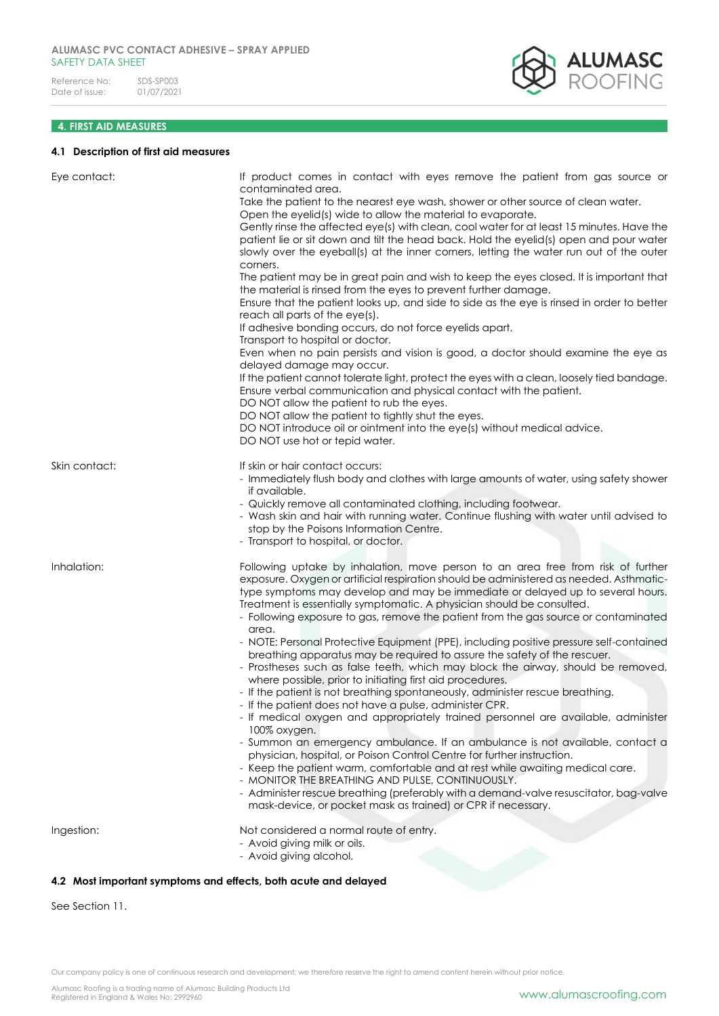

### **4. FIRST AID MEASURES**

### **4.1 Description of first aid measures**

| Eye contact:  | If product comes in contact with eyes remove the patient from gas source or<br>contaminated area.                                                                                                                                                                                                                                                                                                                              |
|---------------|--------------------------------------------------------------------------------------------------------------------------------------------------------------------------------------------------------------------------------------------------------------------------------------------------------------------------------------------------------------------------------------------------------------------------------|
|               | Take the patient to the nearest eye wash, shower or other source of clean water.<br>Open the eyelid(s) wide to allow the material to evaporate.                                                                                                                                                                                                                                                                                |
|               | Gently rinse the affected eye(s) with clean, cool water for at least 15 minutes. Have the<br>patient lie or sit down and tilt the head back. Hold the eyelid(s) open and pour water<br>slowly over the eyeball(s) at the inner corners, letting the water run out of the outer                                                                                                                                                 |
|               | corners.<br>The patient may be in great pain and wish to keep the eyes closed. It is important that<br>the material is rinsed from the eyes to prevent further damage.                                                                                                                                                                                                                                                         |
|               | Ensure that the patient looks up, and side to side as the eye is rinsed in order to better<br>reach all parts of the eye(s).<br>If adhesive bonding occurs, do not force eyelids apart.                                                                                                                                                                                                                                        |
|               | Transport to hospital or doctor.<br>Even when no pain persists and vision is good, a doctor should examine the eye as<br>delayed damage may occur.                                                                                                                                                                                                                                                                             |
|               | If the patient cannot tolerate light, protect the eyes with a clean, loosely tied bandage.<br>Ensure verbal communication and physical contact with the patient.<br>DO NOT allow the patient to rub the eyes.                                                                                                                                                                                                                  |
|               | DO NOT allow the patient to tightly shut the eyes.<br>DO NOT introduce oil or ointment into the eye(s) without medical advice.<br>DO NOT use hot or tepid water.                                                                                                                                                                                                                                                               |
| Skin contact: | If skin or hair contact occurs:<br>- Immediately flush body and clothes with large amounts of water, using safety shower<br>if available.                                                                                                                                                                                                                                                                                      |
|               | - Quickly remove all contaminated clothing, including footwear.<br>- Wash skin and hair with running water. Continue flushing with water until advised to<br>stop by the Poisons Information Centre.                                                                                                                                                                                                                           |
|               | - Transport to hospital, or doctor.                                                                                                                                                                                                                                                                                                                                                                                            |
| Inhalation:   | Following uptake by inhalation, move person to an area free from risk of further<br>exposure. Oxygen or artificial respiration should be administered as needed. Asthmatic-<br>type symptoms may develop and may be immediate or delayed up to several hours.<br>Treatment is essentially symptomatic. A physician should be consulted.<br>- Following exposure to gas, remove the patient from the gas source or contaminated |
|               | area.<br>- NOTE: Personal Protective Equipment (PPE), including positive pressure self-contained<br>breathing apparatus may be required to assure the safety of the rescuer.                                                                                                                                                                                                                                                   |
|               | - Prostheses such as false teeth, which may block the airway, should be removed,<br>where possible, prior to initiating first aid procedures.                                                                                                                                                                                                                                                                                  |
|               | - If the patient is not breathing spontaneously, administer rescue breathing.<br>- If the patient does not have a pulse, administer CPR.                                                                                                                                                                                                                                                                                       |
|               | - If medical oxygen and appropriately trained personnel are available, administer<br>100% oxygen.                                                                                                                                                                                                                                                                                                                              |
|               | - Summon an emergency ambulance. If an ambulance is not available, contact a<br>physician, hospital, or Poison Control Centre for further instruction.<br>- Keep the patient warm, comfortable and at rest while awaiting medical care.                                                                                                                                                                                        |
|               | - MONITOR THE BREATHING AND PULSE, CONTINUOUSLY.<br>- Administer rescue breathing (preferably with a demand-valve resuscitator, bag-valve<br>mask-device, or pocket mask as trained) or CPR if necessary.                                                                                                                                                                                                                      |
| Ingestion:    | Not considered a normal route of entry.<br>- Avoid giving milk or oils.                                                                                                                                                                                                                                                                                                                                                        |
|               | - Avoid giving alcohol.                                                                                                                                                                                                                                                                                                                                                                                                        |
|               |                                                                                                                                                                                                                                                                                                                                                                                                                                |

### **4.2 Most important symptoms and effects, both acute and delayed**

See Section 11.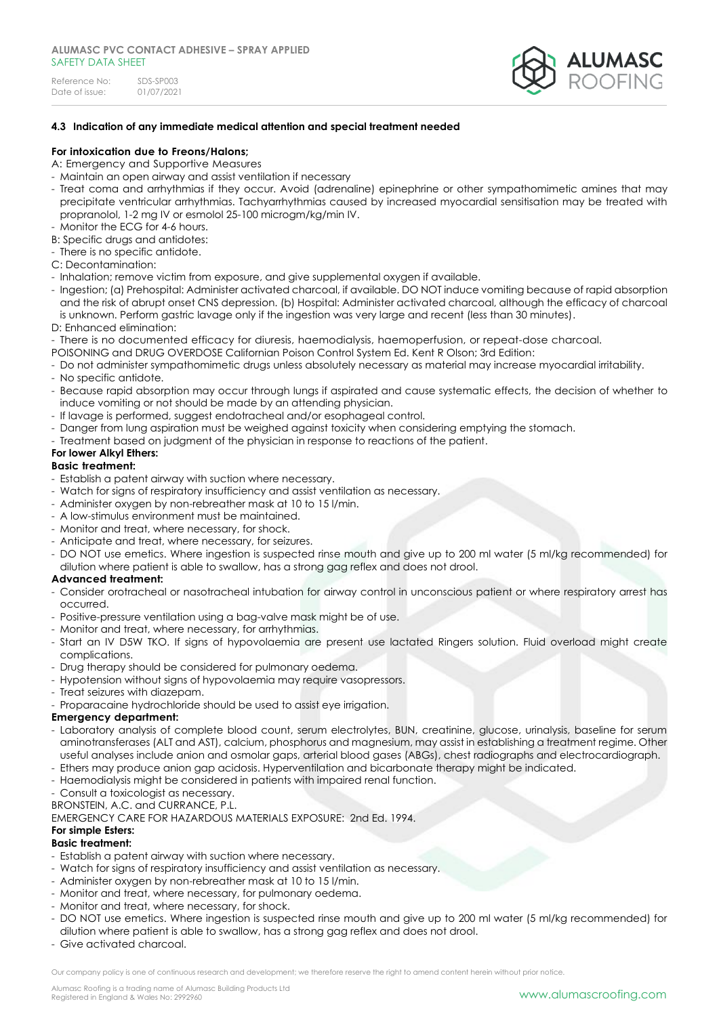

### **4.3 Indication of any immediate medical attention and special treatment needed**

### **For intoxication due to Freons/Halons;**

- A: Emergency and Supportive Measures
- Maintain an open airway and assist ventilation if necessary
- Treat coma and arrhythmias if they occur. Avoid (adrenaline) epinephrine or other sympathomimetic amines that may precipitate ventricular arrhythmias. Tachyarrhythmias caused by increased myocardial sensitisation may be treated with propranolol, 1-2 mg IV or esmolol 25-100 microgm/kg/min IV.
- Monitor the ECG for 4-6 hours.
- B: Specific drugs and antidotes:
- There is no specific antidote.
- C: Decontamination:
- Inhalation; remove victim from exposure, and give supplemental oxygen if available.
- Ingestion; (a) Prehospital: Administer activated charcoal, if available. DO NOT induce vomiting because of rapid absorption and the risk of abrupt onset CNS depression. (b) Hospital: Administer activated charcoal, although the efficacy of charcoal is unknown. Perform gastric lavage only if the ingestion was very large and recent (less than 30 minutes).
- D: Enhanced elimination:
- There is no documented efficacy for diuresis, haemodialysis, haemoperfusion, or repeat-dose charcoal.
- POISONING and DRUG OVERDOSE Californian Poison Control System Ed. Kent R Olson; 3rd Edition:
- Do not administer sympathomimetic drugs unless absolutely necessary as material may increase myocardial irritability.
- No specific antidote.
- Because rapid absorption may occur through lungs if aspirated and cause systematic effects, the decision of whether to induce vomiting or not should be made by an attending physician.
- If lavage is performed, suggest endotracheal and/or esophageal control.
- Danger from lung aspiration must be weighed against toxicity when considering emptying the stomach.
- Treatment based on judgment of the physician in response to reactions of the patient.

### **For lower Alkyl Ethers:**

### **Basic treatment:**

- Establish a patent airway with suction where necessary.
- Watch for signs of respiratory insufficiency and assist ventilation as necessary.
- Administer oxygen by non-rebreather mask at 10 to 15 l/min.
- A low-stimulus environment must be maintained.
- Monitor and treat, where necessary, for shock.
- Anticipate and treat, where necessary, for seizures.
- DO NOT use emetics. Where ingestion is suspected rinse mouth and give up to 200 ml water (5 ml/kg recommended) for dilution where patient is able to swallow, has a strong gag reflex and does not drool.

### **Advanced treatment:**

- Consider orotracheal or nasotracheal intubation for airway control in unconscious patient or where respiratory arrest has occurred.
- Positive-pressure ventilation using a bag-valve mask might be of use.
- Monitor and treat, where necessary, for arrhythmias.
- Start an IV D5W TKO. If signs of hypovolaemia are present use lactated Ringers solution. Fluid overload might create complications.
- Drug therapy should be considered for pulmonary oedema.
- Hypotension without signs of hypovolaemia may require vasopressors.
- Treat seizures with diazepam.
- Proparacaine hydrochloride should be used to assist eye irrigation.

### **Emergency department:**

- Laboratory analysis of complete blood count, serum electrolytes, BUN, creatinine, glucose, urinalysis, baseline for serum aminotransferases (ALT and AST), calcium, phosphorus and magnesium, may assist in establishing a treatment regime. Other useful analyses include anion and osmolar gaps, arterial blood gases (ABGs), chest radiographs and electrocardiograph.
- Ethers may produce anion gap acidosis. Hyperventilation and bicarbonate therapy might be indicated.
- Haemodialysis might be considered in patients with impaired renal function.
- Consult a toxicologist as necessary.

BRONSTEIN, A.C. and CURRANCE, P.L.

EMERGENCY CARE FOR HAZARDOUS MATERIALS EXPOSURE: 2nd Ed. 1994.

# **For simple Esters:**

### **Basic treatment:**

- Establish a patent airway with suction where necessary.
- Watch for signs of respiratory insufficiency and assist ventilation as necessary.
- Administer oxygen by non-rebreather mask at 10 to 15 l/min.
- Monitor and treat, where necessary, for pulmonary oedema.
- Monitor and treat, where necessary, for shock.
- DO NOT use emetics. Where ingestion is suspected rinse mouth and give up to 200 ml water (5 ml/kg recommended) for dilution where patient is able to swallow, has a strong gag reflex and does not drool.
- Give activated charcoal.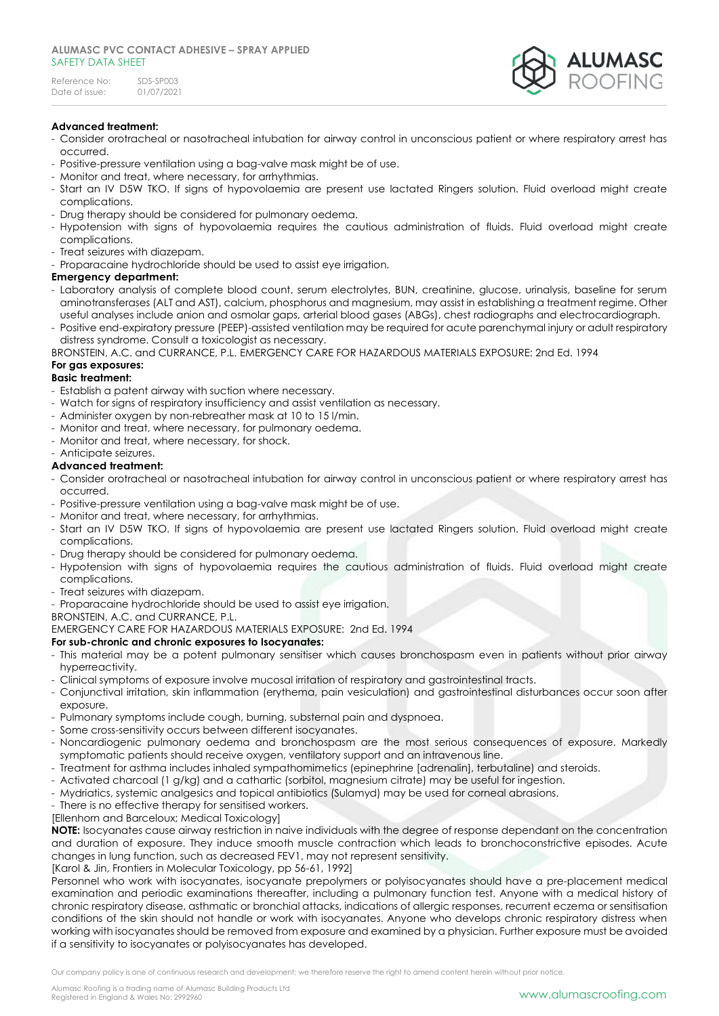

### **Advanced treatment:**

- Consider orotracheal or nasotracheal intubation for airway control in unconscious patient or where respiratory arrest has occurred.
- Positive-pressure ventilation using a bag-valve mask might be of use.
- Monitor and treat, where necessary, for arrhythmias.
- Start an IV D5W TKO. If signs of hypovolaemia are present use lactated Ringers solution. Fluid overload might create complications.
- Drug therapy should be considered for pulmonary oedema.
- Hypotension with signs of hypovolaemia requires the cautious administration of fluids. Fluid overload might create complications.
- Treat seizures with diazepam.
- Proparacaine hydrochloride should be used to assist eye irrigation.

### **Emergency department:**

- Laboratory analysis of complete blood count, serum electrolytes, BUN, creatinine, glucose, urinalysis, baseline for serum aminotransferases (ALT and AST), calcium, phosphorus and magnesium, may assist in establishing a treatment regime. Other useful analyses include anion and osmolar gaps, arterial blood gases (ABGs), chest radiographs and electrocardiograph.
- Positive end-expiratory pressure (PEEP)-assisted ventilation may be required for acute parenchymal injury or adult respiratory distress syndrome. Consult a toxicologist as necessary.

BRONSTEIN, A.C. and CURRANCE, P.L. EMERGENCY CARE FOR HAZARDOUS MATERIALS EXPOSURE: 2nd Ed. 1994

# **For gas exposures:**

### **Basic treatment:**

- Establish a patent airway with suction where necessary.
- Watch for signs of respiratory insufficiency and assist ventilation as necessary.
- Administer oxygen by non-rebreather mask at 10 to 15 l/min.
- Monitor and treat, where necessary, for pulmonary oedema.
- Monitor and treat, where necessary, for shock.
- Anticipate seizures.

### **Advanced treatment:**

- Consider orotracheal or nasotracheal intubation for airway control in unconscious patient or where respiratory arrest has occurred.
- Positive-pressure ventilation using a bag-valve mask might be of use.
- Monitor and treat, where necessary, for arrhythmias.
- Start an IV D5W TKO. If signs of hypovolaemia are present use lactated Ringers solution. Fluid overload might create complications.
- Drug therapy should be considered for pulmonary oedema.
- Hypotension with signs of hypovolaemia requires the cautious administration of fluids. Fluid overload might create complications.
- Treat seizures with diazepam.
- Proparacaine hydrochloride should be used to assist eye irrigation.

BRONSTEIN, A.C. and CURRANCE, P.L.

EMERGENCY CARE FOR HAZARDOUS MATERIALS EXPOSURE: 2nd Ed. 1994

### **For sub-chronic and chronic exposures to Isocyanates:**

- This material may be a potent pulmonary sensitiser which causes bronchospasm even in patients without prior airway hyperreactivity.
- Clinical symptoms of exposure involve mucosal irritation of respiratory and gastrointestinal tracts.
- Conjunctival irritation, skin inflammation (erythema, pain vesiculation) and gastrointestinal disturbances occur soon after exposure.
- Pulmonary symptoms include cough, burning, substernal pain and dyspnoea.
- Some cross-sensitivity occurs between different isocyanates.
- Noncardiogenic pulmonary oedema and bronchospasm are the most serious consequences of exposure. Markedly symptomatic patients should receive oxygen, ventilatory support and an intravenous line.
- Treatment for asthma includes inhaled sympathomimetics (epinephrine [adrenalin], terbutaline) and steroids.
- Activated charcoal (1 g/kg) and a cathartic (sorbitol, magnesium citrate) may be useful for ingestion.
- Mydriatics, systemic analgesics and topical antibiotics (Sulamyd) may be used for corneal abrasions.
- There is no effective therapy for sensitised workers.
- [Ellenhorn and Barceloux; Medical Toxicology]

**NOTE:** Isocyanates cause airway restriction in naive individuals with the degree of response dependant on the concentration and duration of exposure. They induce smooth muscle contraction which leads to bronchoconstrictive episodes. Acute changes in lung function, such as decreased FEV1, may not represent sensitivity.

[Karol & Jin, Frontiers in Molecular Toxicology, pp 56-61, 1992]

Personnel who work with isocyanates, isocyanate prepolymers or polyisocyanates should have a pre-placement medical examination and periodic examinations thereafter, including a pulmonary function test. Anyone with a medical history of chronic respiratory disease, asthmatic or bronchial attacks, indications of allergic responses, recurrent eczema or sensitisation conditions of the skin should not handle or work with isocyanates. Anyone who develops chronic respiratory distress when working with isocyanates should be removed from exposure and examined by a physician. Further exposure must be avoided if a sensitivity to isocyanates or polyisocyanates has developed.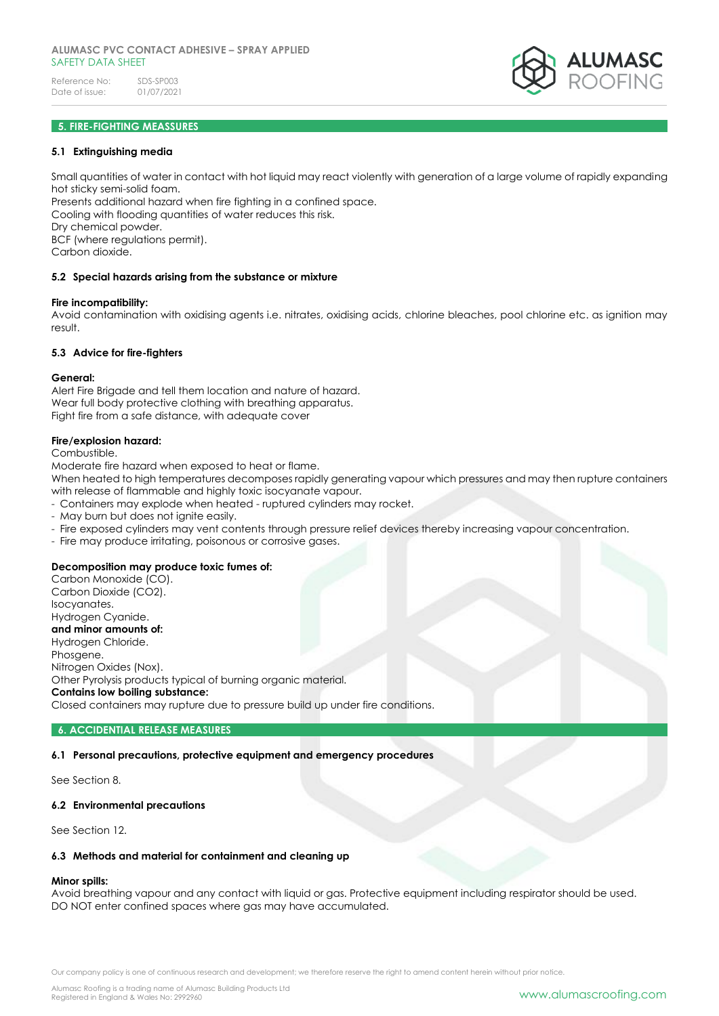### **5. FIRE-FIGHTING MEASSURES**

#### **5.1 Extinguishing media**

Small quantities of water in contact with hot liquid may react violently with generation of a large volume of rapidly expanding hot sticky semi-solid foam.

Presents additional hazard when fire fighting in a confined space. Cooling with flooding quantities of water reduces this risk. Dry chemical powder. BCF (where regulations permit).

Carbon dioxide.

#### **5.2 Special hazards arising from the substance or mixture**

#### **Fire incompatibility:**

Avoid contamination with oxidising agents i.e. nitrates, oxidising acids, chlorine bleaches, pool chlorine etc. as ignition may result.

#### **5.3 Advice for fire-fighters**

#### **General:**

Alert Fire Brigade and tell them location and nature of hazard. Wear full body protective clothing with breathing apparatus. Fight fire from a safe distance, with adequate cover

#### **Fire/explosion hazard:**

Combustible.

Moderate fire hazard when exposed to heat or flame.

When heated to high temperatures decomposes rapidly generating vapour which pressures and may then rupture containers with release of flammable and highly toxic isocyanate vapour.

- Containers may explode when heated ruptured cylinders may rocket.
- May burn but does not ignite easily.
- Fire exposed cylinders may vent contents through pressure relief devices thereby increasing vapour concentration.
- Fire may produce irritating, poisonous or corrosive gases.

### **Decomposition may produce toxic fumes of:**

Carbon Monoxide (CO). Carbon Dioxide (CO2). Isocyanates. Hydrogen Cyanide. **and minor amounts of:** Hydrogen Chloride. Phosgene. Nitrogen Oxides (Nox). Other Pyrolysis products typical of burning organic material. **Contains low boiling substance:** 

Closed containers may rupture due to pressure build up under fire conditions.

#### **6. ACCIDENTIAL RELEASE MEASURES**

# **6.1 Personal precautions, protective equipment and emergency procedures**

See Section 8.

### **6.2 Environmental precautions**

See Section 12.

# **6.3 Methods and material for containment and cleaning up**

### **Minor spills:**

Avoid breathing vapour and any contact with liquid or gas. Protective equipment including respirator should be used. DO NOT enter confined spaces where gas may have accumulated.

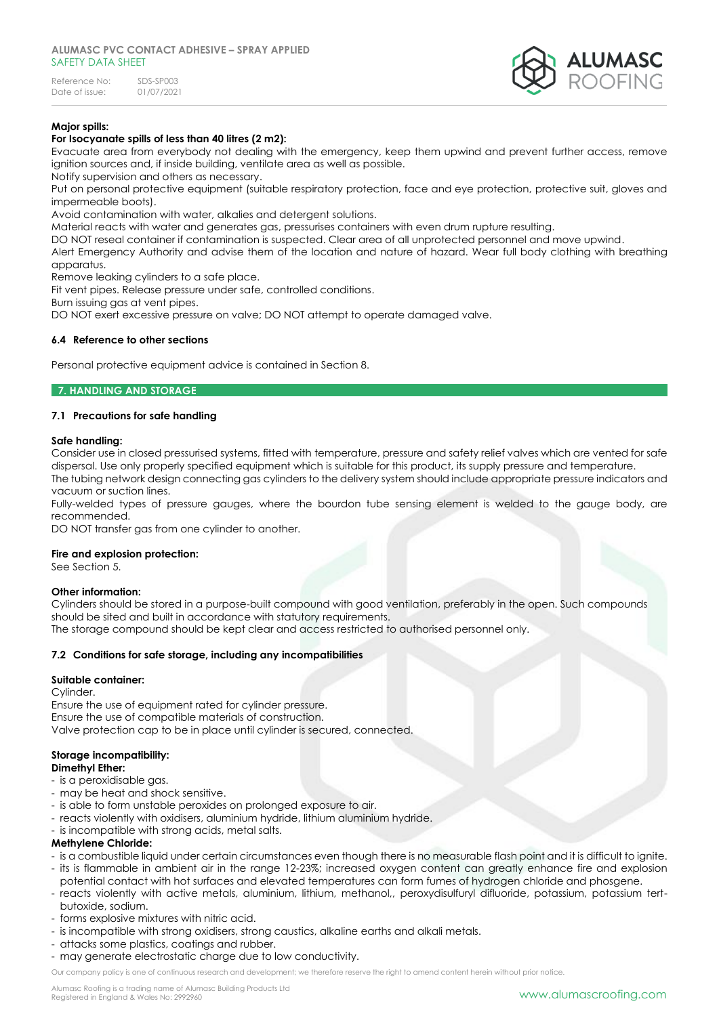Reference No: SDS-SP003<br>Date of issue: 01/07/2021 Date of issue:



# **Major spills:**

### **For Isocyanate spills of less than 40 litres (2 m2):**

Evacuate area from everybody not dealing with the emergency, keep them upwind and prevent further access, remove ignition sources and, if inside building, ventilate area as well as possible.

Notify supervision and others as necessary.

Put on personal protective equipment (suitable respiratory protection, face and eye protection, protective suit, gloves and impermeable boots).

Avoid contamination with water, alkalies and detergent solutions.

Material reacts with water and generates gas, pressurises containers with even drum rupture resulting.

DO NOT reseal container if contamination is suspected. Clear area of all unprotected personnel and move upwind.

Alert Emergency Authority and advise them of the location and nature of hazard. Wear full body clothing with breathing apparatus.

Remove leaking cylinders to a safe place.

Fit vent pipes. Release pressure under safe, controlled conditions.

Burn issuing gas at vent pipes.

DO NOT exert excessive pressure on valve; DO NOT attempt to operate damaged valve.

### **6.4 Reference to other sections**

Personal protective equipment advice is contained in Section 8.

### **7. HANDLING AND STORAGE**

### **7.1 Precautions for safe handling**

### **Safe handling:**

Consider use in closed pressurised systems, fitted with temperature, pressure and safety relief valves which are vented for safe dispersal. Use only properly specified equipment which is suitable for this product, its supply pressure and temperature. The tubing network design connecting gas cylinders to the delivery system should include appropriate pressure indicators and

vacuum or suction lines. Fully-welded types of pressure gauges, where the bourdon tube sensing element is welded to the gauge body, are recommended.

DO NOT transfer gas from one cylinder to another.

#### **Fire and explosion protection:**

See Section 5.

### **Other information:**

Cylinders should be stored in a purpose-built compound with good ventilation, preferably in the open. Such compounds should be sited and built in accordance with statutory requirements.

The storage compound should be kept clear and access restricted to authorised personnel only.

### **7.2 Conditions for safe storage, including any incompatibilities**

### **Suitable container:**

Cylinder.

Ensure the use of equipment rated for cylinder pressure. Ensure the use of compatible materials of construction. Valve protection cap to be in place until cylinder is secured, connected.

# **Storage incompatibility:**

### **Dimethyl Ether:**

- is a peroxidisable gas.
- may be heat and shock sensitive.
- is able to form unstable peroxides on prolonged exposure to air.
- reacts violently with oxidisers, aluminium hydride, lithium aluminium hydride.
- is incompatible with strong acids, metal salts.

### **Methylene Chloride:**

- is a combustible liquid under certain circumstances even though there is no measurable flash point and it is difficult to ignite. - its is flammable in ambient air in the range 12-23%; increased oxygen content can greatly enhance fire and explosion
- potential contact with hot surfaces and elevated temperatures can form fumes of hydrogen chloride and phosgene.
- reacts violently with active metals, aluminium, lithium, methanol,, peroxydisulfuryl difluoride, potassium, potassium tertbutoxide, sodium.
- forms explosive mixtures with nitric acid.
- is incompatible with strong oxidisers, strong caustics, alkaline earths and alkali metals.
- attacks some plastics, coatings and rubber.
- may generate electrostatic charge due to low conductivity.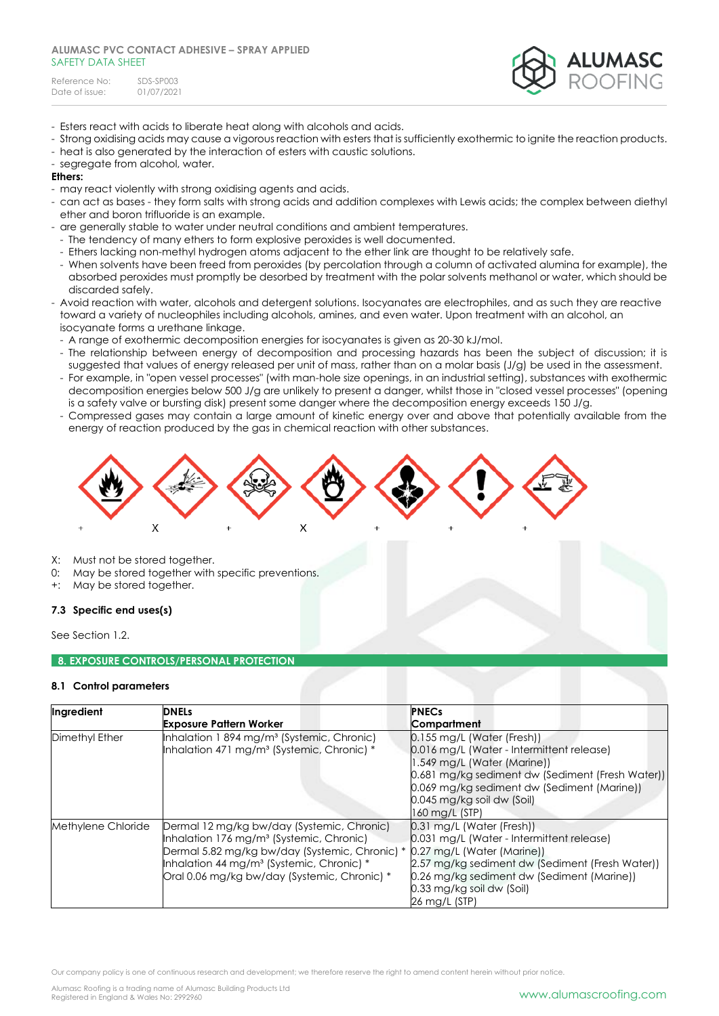Reference No: SDS-SP003<br>Date of issue: 01/07/2021 Date of issue:



- Esters react with acids to liberate heat along with alcohols and acids.
- Strong oxidising acids may cause a vigorous reaction with esters that is sufficiently exothermic to ignite the reaction products.
- heat is also generated by the interaction of esters with caustic solutions.
- segregate from alcohol, water.

### **Ethers:**

- may react violently with strong oxidising agents and acids.
- can act as bases they form salts with strong acids and addition complexes with Lewis acids; the complex between diethyl ether and boron trifluoride is an example.
- are generally stable to water under neutral conditions and ambient temperatures.
- The tendency of many ethers to form explosive peroxides is well documented.
- Ethers lacking non-methyl hydrogen atoms adjacent to the ether link are thought to be relatively safe.
- When solvents have been freed from peroxides (by percolation through a column of activated alumina for example), the absorbed peroxides must promptly be desorbed by treatment with the polar solvents methanol or water, which should be discarded safely.
- Avoid reaction with water, alcohols and detergent solutions. Isocyanates are electrophiles, and as such they are reactive toward a variety of nucleophiles including alcohols, amines, and even water. Upon treatment with an alcohol, an isocyanate forms a urethane linkage.
	- A range of exothermic decomposition energies for isocyanates is given as 20-30 kJ/mol.
	- The relationship between energy of decomposition and processing hazards has been the subject of discussion; it is suggested that values of energy released per unit of mass, rather than on a molar basis (J/g) be used in the assessment.
	- For example, in "open vessel processes" (with man-hole size openings, in an industrial setting), substances with exothermic decomposition energies below 500 J/g are unlikely to present a danger, whilst those in "closed vessel processes" (opening is a safety valve or bursting disk) present some danger where the decomposition energy exceeds 150 J/g.
	- Compressed gases may contain a large amount of kinetic energy over and above that potentially available from the energy of reaction produced by the gas in chemical reaction with other substances.



- X: Must not be stored together.
- 0: May be stored together with specific preventions.
- +: May be stored together.

### **7.3 Specific end uses(s)**

See Section 1.2.

### **8. EXPOSURE CONTROLS/PERSONAL PROTECTION**

### **8.1 Control parameters**

| Ingredient         | <b>DNELs</b>                                                                                                                                                                                                                                                  | <b>PNECs</b>                                                                                                                                                                                                                                        |
|--------------------|---------------------------------------------------------------------------------------------------------------------------------------------------------------------------------------------------------------------------------------------------------------|-----------------------------------------------------------------------------------------------------------------------------------------------------------------------------------------------------------------------------------------------------|
|                    | <b>Exposure Pattern Worker</b>                                                                                                                                                                                                                                | Compartment                                                                                                                                                                                                                                         |
| Dimethyl Ether     | Inhalation 1 894 mg/m <sup>3</sup> (Systemic, Chronic)<br>Inhalation 471 mg/m <sup>3</sup> (Systemic, Chronic) *                                                                                                                                              | $0.155$ mg/L (Water (Fresh))<br>0.016 mg/L (Water - Intermittent release)<br>1.549 mg/L (Water (Marine))<br>0.681 mg/kg sediment dw (Sediment (Fresh Water))<br>0.069 mg/kg sediment dw (Sediment (Marine))                                         |
|                    |                                                                                                                                                                                                                                                               | 0.045 mg/kg soil dw (Soil)<br>160 mg/L (STP)                                                                                                                                                                                                        |
| Methylene Chloride | Dermal 12 mg/kg bw/day (Systemic, Chronic)<br>Inhalation 176 mg/m <sup>3</sup> (Systemic, Chronic)<br>Dermal 5.82 mg/kg bw/day (Systemic, Chronic) *<br>Inhalation 44 mg/m <sup>3</sup> (Systemic, Chronic) *<br>Oral 0.06 mg/kg bw/day (Systemic, Chronic) * | 0.31 mg/L (Water (Fresh))<br>0.031 mg/L (Water - Intermittent release)<br>0.27 mg/L (Water (Marine))<br>2.57 mg/kg sediment dw (Sediment (Fresh Water))<br>0.26 mg/kg sediment dw (Sediment (Marine))<br>0.33 mg/kg soil dw (Soil)<br>26 mg/L (STP) |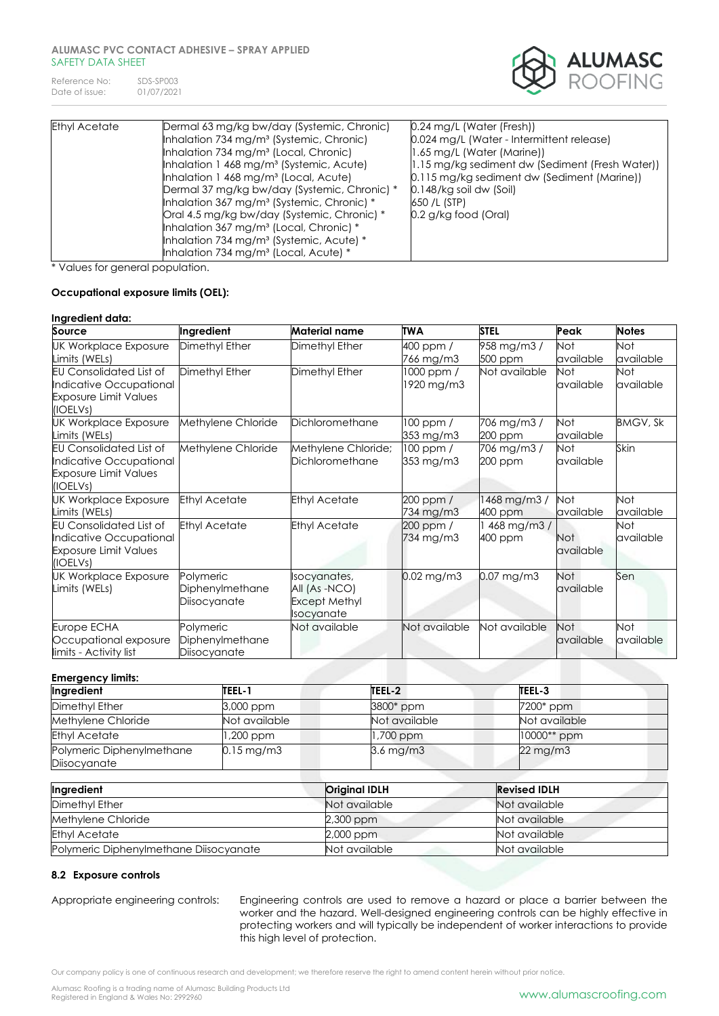Reference No: SDS-SP003<br>Date of issue: 01/07/2021 Date of issue:



| <b>Ethyl Acetate</b> | Dermal 63 mg/kg bw/day (Systemic, Chronic)<br>Inhalation 734 mg/m <sup>3</sup> (Systemic, Chronic)<br>Inhalation 734 mg/m <sup>3</sup> (Local, Chronic)<br>Inhalation 1 468 mg/m <sup>3</sup> (Systemic, Acute)<br>Inhalation 1 468 mg/m <sup>3</sup> (Local, Acute)<br>Dermal 37 mg/kg bw/day (Systemic, Chronic) *<br>Inhalation 367 mg/m <sup>3</sup> (Systemic, Chronic) *<br>Oral 4.5 mg/kg bw/day (Systemic, Chronic) *<br>Inhalation 367 mg/m <sup>3</sup> (Local, Chronic) * | 0.24 mg/L (Water (Fresh))<br>0.024 mg/L (Water - Intermittent release)<br>1.65 mg/L (Water (Marine))<br>1.15 mg/kg sediment dw (Sediment (Fresh Water))<br>0.115 mg/kg sediment dw (Sediment (Marine))<br>0.148/kg soil dw (Soil)<br>650 /L (STP)<br>0.2 g/kg food (Oral) |
|----------------------|--------------------------------------------------------------------------------------------------------------------------------------------------------------------------------------------------------------------------------------------------------------------------------------------------------------------------------------------------------------------------------------------------------------------------------------------------------------------------------------|---------------------------------------------------------------------------------------------------------------------------------------------------------------------------------------------------------------------------------------------------------------------------|
|                      | Inhalation 734 mg/m <sup>3</sup> (Systemic, Acute) *<br>Inhalation 734 mg/m <sup>3</sup> (Local, Acute) *                                                                                                                                                                                                                                                                                                                                                                            |                                                                                                                                                                                                                                                                           |

\* Values for general population.

### **Occupational exposure limits (OEL):**

#### **Ingredient data: Source Ingredient Material name TWA STEL Peak Notes** UK Workplace Exposure Limits (WELs) Dimethyl Ether **Dimethyl Ether** 400 ppm / 766 mg/m3 958 mg/m3 / 500 ppm Not available Not available EU Consolidated List of Indicative Occupational Exposure Limit Values (IOELVs) Dimethyl Ether Dimethyl Ether 1000 ppm / 1920 mg/m3 Not available Not available Not available UK Workplace Exposure Limits (WELs) Methylene Chloride Dichloromethane 100 ppm / 353 mg/m3 706 mg/m3 / 200 ppm Not available BMGV, Sk EU Consolidated List of Indicative Occupational Exposure Limit Values (IOELVs) Methylene Chloride Methylene Chloride; **Dichloromethane** 100 ppm / 353 mg/m3 706 mg/m3 / 200 ppm Not available Skin UK Workplace Exposure Limits (WELs) Ethyl Acetate Ethyl Acetate 200 ppm / 734 mg/m3 1468 mg/m3 / 400 ppm Not available  $N \cap t$ available EU Consolidated List of Indicative Occupational Exposure Limit Values (IOELVs) Ethyl Acetate Ethyl Acetate 200 ppm / 734 mg/m3 1 468 mg/m3 / 400 ppm Not available Not available UK Workplace Exposure Limits (WELs) **Polymeric** Diphenylmethane **Diisocyanate** Isocyanates, All (As -NCO) Except Methyl **Isocyanate** 0.02 mg/m3 0.07 mg/m3 Not available Sen Europe ECHA Occupational exposure limits - Activity list **Polymeric** Diphenylmethane **Diisocyanate** Not available Not available Not available Not available Not available **Emergency limits:**

| ынстусноу шинэ.                           |                         |                |                       |  |
|-------------------------------------------|-------------------------|----------------|-----------------------|--|
| Ingredient                                | TEEL-1                  | TEEL-2         | TEEL-3                |  |
| Dimethyl Ether                            | 3,000 ppm               | 3800* ppm      | 7200* ppm             |  |
| Methylene Chloride                        | Not available           | Not available  | Not available         |  |
| <b>Ethyl Acetate</b>                      | ,200 ppm                | .700 ppm       | $10000**$ ppm         |  |
| Polymeric Diphenylmethane<br>Diisocyanate | $0.15 \,\mathrm{mg/m3}$ | $3.6$ mg/m $3$ | $22 \,\mathrm{mg/m3}$ |  |

| Ingredient                             | <b>Original IDLH</b> | <b>Revised IDLH</b> |
|----------------------------------------|----------------------|---------------------|
| Dimethyl Ether                         | Not available        | Not available       |
| Methylene Chloride                     | 2,300 ppm            | Not available       |
| <b>Ethyl Acetate</b>                   | 2,000 ppm            | Not available       |
| Polymeric Diphenylmethane Diisocyanate | Not available        | Not available       |

### **8.2 Exposure controls**

Appropriate engineering controls: Engineering controls are used to remove a hazard or place a barrier between the worker and the hazard. Well-designed engineering controls can be highly effective in protecting workers and will typically be independent of worker interactions to provide this high level of protection.

Our company policy is one of continuous research and development; we therefore reserve the right to amend content herein without prior notice.

Alumasc Roofing is a trading name of Alumasc Building Products Ltd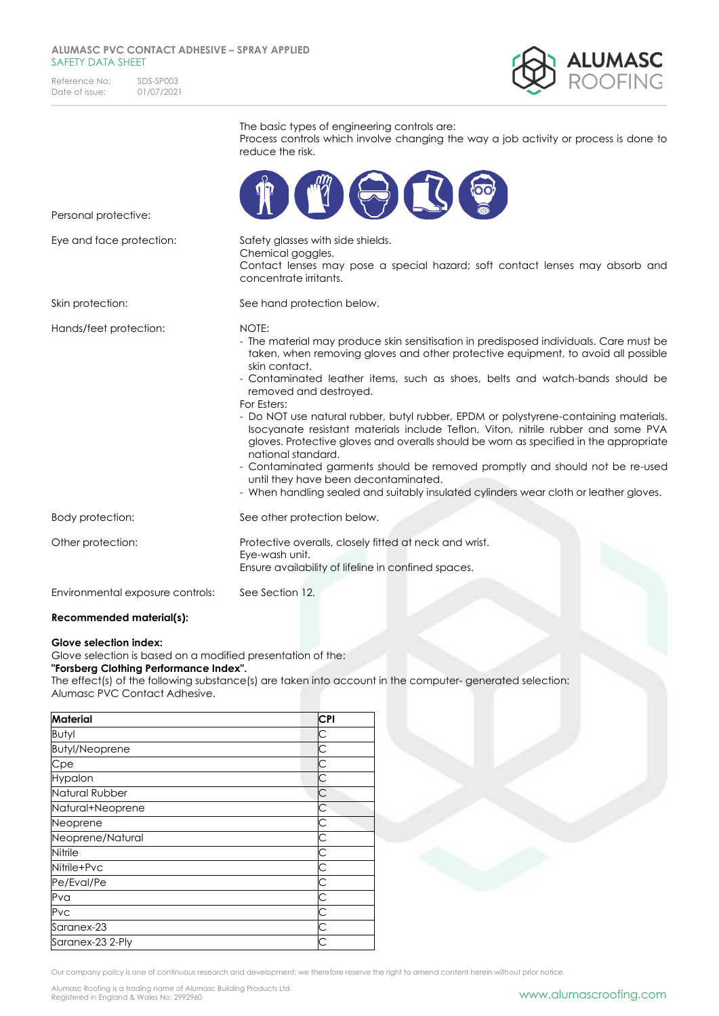Reference No: SDS-SP003<br>Date of issue: 01/07/2021 Date of issue:



|                                  | The basic types of engineering controls are:<br>Process controls which involve changing the way a job activity or process is done to<br>reduce the risk.                                                                                                                                                                                                                                                                                                                                                                                                                                                                                                                                                                                                                                                                                    |
|----------------------------------|---------------------------------------------------------------------------------------------------------------------------------------------------------------------------------------------------------------------------------------------------------------------------------------------------------------------------------------------------------------------------------------------------------------------------------------------------------------------------------------------------------------------------------------------------------------------------------------------------------------------------------------------------------------------------------------------------------------------------------------------------------------------------------------------------------------------------------------------|
| Personal protective:             | LL                                                                                                                                                                                                                                                                                                                                                                                                                                                                                                                                                                                                                                                                                                                                                                                                                                          |
| Eye and face protection:         | Safety glasses with side shields.<br>Chemical goggles.<br>Contact lenses may pose a special hazard; soft contact lenses may absorb and<br>concentrate irritants.                                                                                                                                                                                                                                                                                                                                                                                                                                                                                                                                                                                                                                                                            |
| Skin protection:                 | See hand protection below.                                                                                                                                                                                                                                                                                                                                                                                                                                                                                                                                                                                                                                                                                                                                                                                                                  |
| Hands/feet protection:           | NOTE:<br>- The material may produce skin sensitisation in predisposed individuals. Care must be<br>taken, when removing gloves and other protective equipment, to avoid all possible<br>skin contact.<br>- Contaminated leather items, such as shoes, belts and watch-bands should be<br>removed and destroyed.<br>For Esters:<br>- Do NOT use natural rubber, butyl rubber, EPDM or polystyrene-containing materials.<br>Isocyanate resistant materials include Teflon, Viton, nitrile rubber and some PVA<br>gloves. Protective gloves and overalls should be worn as specified in the appropriate<br>national standard.<br>- Contaminated garments should be removed promptly and should not be re-used<br>until they have been decontaminated.<br>- When handling sealed and suitably insulated cylinders wear cloth or leather gloves. |
| Body protection:                 | See other protection below.                                                                                                                                                                                                                                                                                                                                                                                                                                                                                                                                                                                                                                                                                                                                                                                                                 |
| Other protection:                | Protective overalls, closely fitted at neck and wrist.<br>Eye-wash unit.<br>Ensure availability of lifeline in confined spaces.                                                                                                                                                                                                                                                                                                                                                                                                                                                                                                                                                                                                                                                                                                             |
| Environmental exposure controls: | See Section 12.                                                                                                                                                                                                                                                                                                                                                                                                                                                                                                                                                                                                                                                                                                                                                                                                                             |
| Recommended material(s):         |                                                                                                                                                                                                                                                                                                                                                                                                                                                                                                                                                                                                                                                                                                                                                                                                                                             |

#### **Glove selection index:**

Glove selection is based on a modified presentation of the:

**"Forsberg Clothing Performance Index".**

The effect(s) of the following substance(s) are taken into account in the computer- generated selection: Alumasc PVC Contact Adhesive.

| <b>Material</b>       | <b>CPI</b> |
|-----------------------|------------|
| Butyl                 | С          |
| <b>Butyl/Neoprene</b> | С          |
| Cpe                   |            |
| Hypalon               | С          |
| Natural Rubber        | С          |
| Natural+Neoprene      | С          |
| Neoprene              | С          |
| Neoprene/Natural      | С          |
| Nitrile               | Ć          |
| Nitrile+Pvc           | С          |
| Pe/Eval/Pe            | С          |
| Pva                   | С          |
| Pvc                   | С          |
| Saranex-23            |            |
| Saranex-23 2-Ply      | Ć          |

Our company policy is one of continuous research and development; we therefore reserve the right to amend content herein without prior notice.

Alumasc Roofing is a trading name of Alumasc Building Products Ltd<br>Registered in England & Wales No: 2992960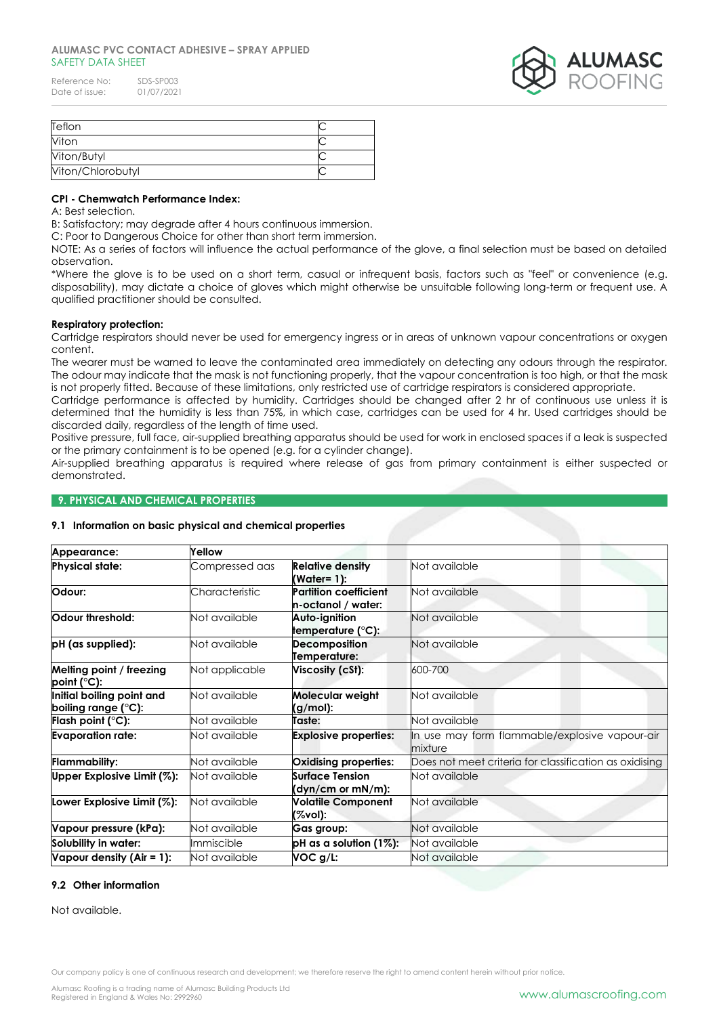| Reference No:  | SDS-SP003  |
|----------------|------------|
| Date of issue: | 01/07/2021 |



| Teflon            |  |
|-------------------|--|
| Viton             |  |
| Viton/Butyl       |  |
| Viton/Chlorobutyl |  |

### **CPI - Chemwatch Performance Index:**

A: Best selection.

B: Satisfactory; may degrade after 4 hours continuous immersion.

C: Poor to Dangerous Choice for other than short term immersion.

NOTE: As a series of factors will influence the actual performance of the glove, a final selection must be based on detailed observation.

\*Where the glove is to be used on a short term, casual or infrequent basis, factors such as "feel" or convenience (e.g. disposability), may dictate a choice of gloves which might otherwise be unsuitable following long-term or frequent use. A qualified practitioner should be consulted.

### **Respiratory protection:**

Cartridge respirators should never be used for emergency ingress or in areas of unknown vapour concentrations or oxygen content.

The wearer must be warned to leave the contaminated area immediately on detecting any odours through the respirator. The odour may indicate that the mask is not functioning properly, that the vapour concentration is too high, or that the mask is not properly fitted. Because of these limitations, only restricted use of cartridge respirators is considered appropriate.

Cartridge performance is affected by humidity. Cartridges should be changed after 2 hr of continuous use unless it is determined that the humidity is less than 75%, in which case, cartridges can be used for 4 hr. Used cartridges should be discarded daily, regardless of the length of time used.

Positive pressure, full face, air-supplied breathing apparatus should be used for work in enclosed spaces if a leak is suspected or the primary containment is to be opened (e.g. for a cylinder change).

Air-supplied breathing apparatus is required where release of gas from primary containment is either suspected or demonstrated.

# **9. PHYSICAL AND CHEMICAL PROPERTIES**

### **9.1 Information on basic physical and chemical properties**

| Appearance:                                      | Yellow         |                                                    |                                                           |  |
|--------------------------------------------------|----------------|----------------------------------------------------|-----------------------------------------------------------|--|
| <b>Physical state:</b>                           | Compressed aas | <b>Relative density</b><br>(Water= 1):             | Not available                                             |  |
| Odour:                                           | Characteristic | <b>Partition coefficient</b><br>n-octanol / water: | Not available                                             |  |
| Odour threshold:                                 | Not available  | Auto-ignition<br>temperature (°C):                 | Not available                                             |  |
| pH (as supplied):                                | Not available  | <b>Decomposition</b><br>Temperature:               | Not available                                             |  |
| Melting point / freezing<br>$point$ (°C):        | Not applicable | Viscosity (cSt):                                   | 600-700                                                   |  |
| Initial boiling point and<br>boiling range (°C): | Not available  | Molecular weight<br>(g/mol):                       | Not available                                             |  |
| Flash point $(°C)$ :                             | Not available  | Taste:                                             | Not available                                             |  |
| <b>Evaporation rate:</b>                         | Not available  | <b>Explosive properties:</b>                       | In use may form flammable/explosive vapour-air<br>mixture |  |
| <b>Flammability:</b>                             | Not available  | <b>Oxidising properties:</b>                       | Does not meet criteria for classification as oxidising    |  |
| Upper Explosive Limit (%):                       | Not available  | Surface Tension<br>(dyn/cm or mN/m):               | Not available                                             |  |
| Lower Explosive Limit (%):                       | Not available  | <b>Volatile Component</b><br>(%vol):               | Not available                                             |  |
| Vapour pressure (kPa):                           | Not available  | Gas group:                                         | Not available                                             |  |
| Solubility in water:                             | Immiscible     | pH as a solution (1%):                             | Not available                                             |  |
| Vapour density $(Air = 1)$ :                     | Not available  | VOC g/L:                                           | Not available                                             |  |

### **9.2 Other information**

Not available.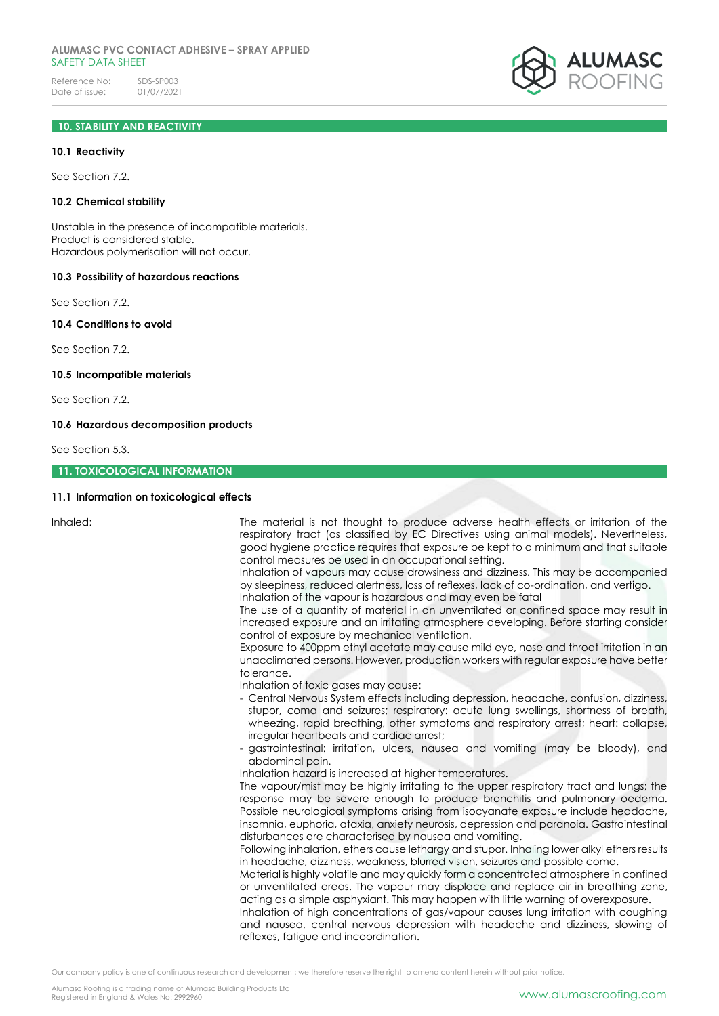# **10. STABILITY AND REACTIVITY**

#### **10.1 Reactivity**

See Section 7.2.

#### **10.2 Chemical stability**

Unstable in the presence of incompatible materials. Product is considered stable. Hazardous polymerisation will not occur.

#### **10.3 Possibility of hazardous reactions**

See Section 7.2.

#### **10.4 Conditions to avoid**

See Section 7.2.

### **10.5 Incompatible materials**

See Section 7.2.

#### **10.6 Hazardous decomposition products**

See Section 5.3.

#### **11. TOXICOLOGICAL INFORMATION**

#### **11.1 Information on toxicological effects**

Inhaled: The material is not thought to produce adverse health effects or irritation of the respiratory tract (as classified by EC Directives using animal models). Nevertheless, good hygiene practice requires that exposure be kept to a minimum and that suitable control measures be used in an occupational setting.

> Inhalation of vapours may cause drowsiness and dizziness. This may be accompanied by sleepiness, reduced alertness, loss of reflexes, lack of co-ordination, and vertigo. Inhalation of the vapour is hazardous and may even be fatal

> The use of a quantity of material in an unventilated or confined space may result in increased exposure and an irritating atmosphere developing. Before starting consider control of exposure by mechanical ventilation.

> Exposure to 400ppm ethyl acetate may cause mild eye, nose and throat irritation in an unacclimated persons. However, production workers with regular exposure have better tolerance.

Inhalation of toxic gases may cause:

- Central Nervous System effects including depression, headache, confusion, dizziness, stupor, coma and seizures; respiratory: acute lung swellings, shortness of breath, wheezing, rapid breathing, other symptoms and respiratory arrest; heart: collapse, irregular heartbeats and cardiac arrest;
- gastrointestinal: irritation, ulcers, nausea and vomiting (may be bloody), and abdominal pain.
- Inhalation hazard is increased at higher temperatures.

The vapour/mist may be highly irritating to the upper respiratory tract and lungs; the response may be severe enough to produce bronchitis and pulmonary oedema. Possible neurological symptoms arising from isocyanate exposure include headache, insomnia, euphoria, ataxia, anxiety neurosis, depression and paranoia. Gastrointestinal disturbances are characterised by nausea and vomiting.

Following inhalation, ethers cause lethargy and stupor. Inhaling lower alkyl ethers results in headache, dizziness, weakness, blurred vision, seizures and possible coma.

Material is highly volatile and may quickly form a concentrated atmosphere in confined or unventilated areas. The vapour may displace and replace air in breathing zone, acting as a simple asphyxiant. This may happen with little warning of overexposure.

Inhalation of high concentrations of gas/vapour causes lung irritation with coughing and nausea, central nervous depression with headache and dizziness, slowing of reflexes, fatigue and incoordination.

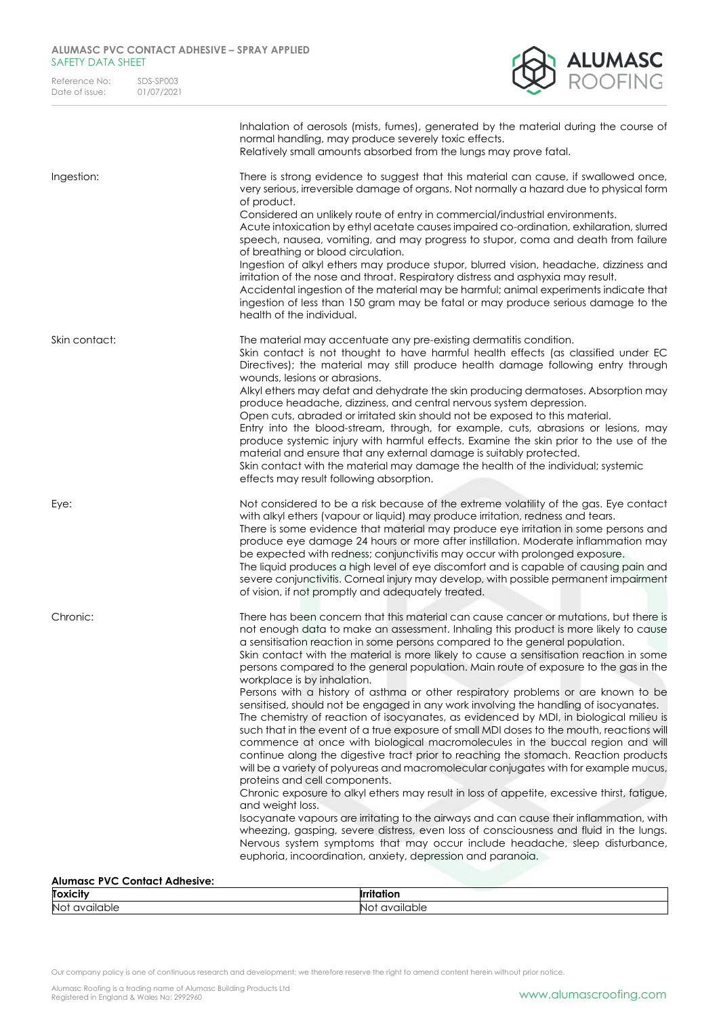| Reference No:  | SDS-SP003  |
|----------------|------------|
| Date of issue: | 01/07/2021 |



|               | Inhalation of aerosols (mists, fumes), generated by the material during the course of<br>normal handling, may produce severely toxic effects.<br>Relatively small amounts absorbed from the lungs may prove fatal.                                                                                                                                                                                                                                                                                                                                                                                                                                                                                                                                                                                                                                                                                                                                                                                                                                                                                                                                                                                                                                                                                                                                                                                                                                                                                                                                                                                         |
|---------------|------------------------------------------------------------------------------------------------------------------------------------------------------------------------------------------------------------------------------------------------------------------------------------------------------------------------------------------------------------------------------------------------------------------------------------------------------------------------------------------------------------------------------------------------------------------------------------------------------------------------------------------------------------------------------------------------------------------------------------------------------------------------------------------------------------------------------------------------------------------------------------------------------------------------------------------------------------------------------------------------------------------------------------------------------------------------------------------------------------------------------------------------------------------------------------------------------------------------------------------------------------------------------------------------------------------------------------------------------------------------------------------------------------------------------------------------------------------------------------------------------------------------------------------------------------------------------------------------------------|
| Ingestion:    | There is strong evidence to suggest that this material can cause, if swallowed once,<br>very serious, irreversible damage of organs. Not normally a hazard due to physical form<br>of product.<br>Considered an unlikely route of entry in commercial/industrial environments.<br>Acute intoxication by ethyl acetate causes impaired co-ordination, exhilaration, slurred<br>speech, nausea, vomiting, and may progress to stupor, coma and death from failure<br>of breathing or blood circulation.<br>Ingestion of alkyl ethers may produce stupor, blurred vision, headache, dizziness and<br>irritation of the nose and throat. Respiratory distress and asphyxia may result.<br>Accidental ingestion of the material may be harmful; animal experiments indicate that<br>ingestion of less than 150 gram may be fatal or may produce serious damage to the<br>health of the individual.                                                                                                                                                                                                                                                                                                                                                                                                                                                                                                                                                                                                                                                                                                              |
| Skin contact: | The material may accentuate any pre-existing dermatitis condition.<br>Skin contact is not thought to have harmful health effects (as classified under EC<br>Directives); the material may still produce health damage following entry through<br>wounds, lesions or abrasions.<br>Alkyl ethers may defat and dehydrate the skin producing dermatoses. Absorption may<br>produce headache, dizziness, and central nervous system depression.<br>Open cuts, abraded or irritated skin should not be exposed to this material.<br>Entry into the blood-stream, through, for example, cuts, abrasions or lesions, may<br>produce systemic injury with harmful effects. Examine the skin prior to the use of the<br>material and ensure that any external damage is suitably protected.<br>Skin contact with the material may damage the health of the individual; systemic<br>effects may result following absorption.                                                                                                                                                                                                                                                                                                                                                                                                                                                                                                                                                                                                                                                                                         |
| Eye:          | Not considered to be a risk because of the extreme volatility of the gas. Eye contact<br>with alkyl ethers (vapour or liquid) may produce irritation, redness and tears.<br>There is some evidence that material may produce eye irritation in some persons and<br>produce eye damage 24 hours or more after instillation. Moderate inflammation may<br>be expected with redness; conjunctivitis may occur with prolonged exposure.<br>The liquid produces a high level of eye discomfort and is capable of causing pain and<br>severe conjunctivitis. Corneal injury may develop, with possible permanent impairment<br>of vision, if not promptly and adequately treated.                                                                                                                                                                                                                                                                                                                                                                                                                                                                                                                                                                                                                                                                                                                                                                                                                                                                                                                                |
| Chronic:      | There has been concern that this material can cause cancer or mutations, but there is<br>not enough data to make an assessment. Inhaling this product is more likely to cause<br>a sensitisation reaction in some persons compared to the general population.<br>Skin contact with the material is more likely to cause a sensitisation reaction in some<br>persons compared to the general population. Main route of exposure to the gas in the<br>workplace is by inhalation.<br>Persons with a history of asthma or other respiratory problems or are known to be<br>sensitised, should not be engaged in any work involving the handling of isocyanates.<br>The chemistry of reaction of isocyanates, as evidenced by MDI, in biological milieu is<br>such that in the event of a true exposure of small MDI doses to the mouth, reactions will<br>commence at once with biological macromolecules in the buccal region and will<br>continue along the digestive tract prior to reaching the stomach. Reaction products<br>will be a variety of polyureas and macromolecular conjugates with for example mucus,<br>proteins and cell components.<br>Chronic exposure to alkyl ethers may result in loss of appetite, excessive thirst, fatigue,<br>and weight loss.<br>Isocyanate vapours are irritating to the airways and can cause their inflammation, with<br>wheezing, gasping, severe distress, even loss of consciousness and fluid in the lungs.<br>Nervous system symptoms that may occur include headache, sleep disturbance,<br>euphoria, incoordination, anxiety, depression and paranoia. |

# **Alumasc PVC Contact Adhesive:**

| <b>Toxicity</b> | . .<br>$\bullet$ |
|-----------------|------------------|
| No <sup>1</sup> | able             |
| ailable '       | .                |
| $\sim$          | ∼                |
| ◡               |                  |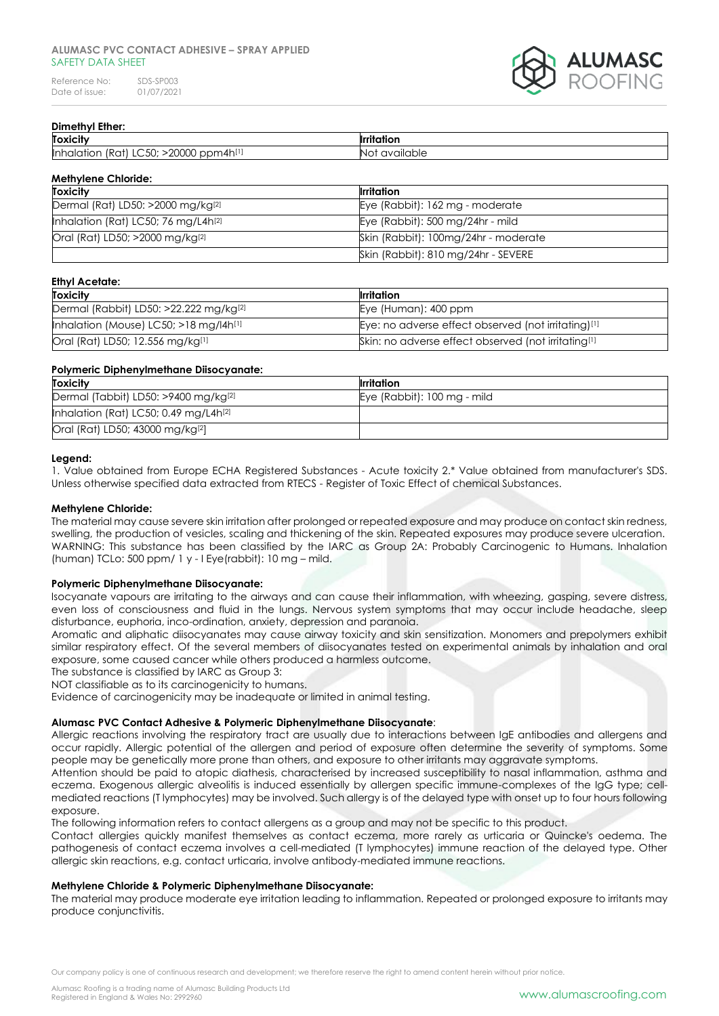Reference No: SDS-SP003<br>Date of issue: 01/07/2021 Date of issue:



# **Dimethyl Ether:**

| <b>Toxicity</b>                                                                     | $\cdot$<br>Irı<br>∟וור״    |
|-------------------------------------------------------------------------------------|----------------------------|
| 20000<br>י∩ז<br>pm4h <sup>[1]</sup><br><b>l</b> lnhc<br>TRA1<br>fior<br>JDI*<br>. ب | eldble i<br>- IN C<br>1777 |

### **Methylene Chloride:**

| <b>Toxicity</b>                                 | <b>Ilrritation</b>                   |
|-------------------------------------------------|--------------------------------------|
| Dermal (Rat) LD50: >2000 mg/kg <sup>[2]</sup>   | Eye (Rabbit): 162 mg - moderate      |
| Inhalation (Rat) LC50; 76 mg/L4h <sup>[2]</sup> | Eye (Rabbit): 500 mg/24hr - mild     |
| Oral (Rat) LD50; >2000 mg/kg <sup>[2]</sup>     | Skin (Rabbit): 100mg/24hr - moderate |
|                                                 | Skin (Rabbit): 810 mg/24hr - SEVERE  |

# **Ethyl Acetate:**

| <b>Toxicity</b>                                    | Irritation                                                      |
|----------------------------------------------------|-----------------------------------------------------------------|
| Dermal (Rabbit) LD50: >22.222 mg/kg <sup>[2]</sup> | Eye (Human): 400 ppm                                            |
| Inhalation (Mouse) LC50; $>18$ mg/ $ 4h^{[1]} $    | Eye: no adverse effect observed (not irritating)[1]             |
| Oral (Rat) LD50; 12.556 mg/kg[1]                   | Skin: no adverse effect observed (not irritating <sup>[1]</sup> |

### **Polymeric Diphenylmethane Diisocyanate:**

| Irritation                  |
|-----------------------------|
| Eye (Rabbit): 100 mg - mild |
|                             |
|                             |
|                             |

### **Legend:**

1. Value obtained from Europe ECHA Registered Substances - Acute toxicity 2.\* Value obtained from manufacturer's SDS. Unless otherwise specified data extracted from RTECS - Register of Toxic Effect of chemical Substances.

### **Methylene Chloride:**

The material may cause severe skin irritation after prolonged or repeated exposure and may produce on contact skin redness, swelling, the production of vesicles, scaling and thickening of the skin. Repeated exposures may produce severe ulceration. WARNING: This substance has been classified by the IARC as Group 2A: Probably Carcinogenic to Humans. Inhalation (human) TCLo: 500 ppm/ 1 y - I Eye(rabbit): 10 mg – mild.

### **Polymeric Diphenylmethane Diisocyanate:**

Isocyanate vapours are irritating to the airways and can cause their inflammation, with wheezing, gasping, severe distress, even loss of consciousness and fluid in the lungs. Nervous system symptoms that may occur include headache, sleep disturbance, euphoria, inco-ordination, anxiety, depression and paranoia.

Aromatic and aliphatic diisocyanates may cause airway toxicity and skin sensitization. Monomers and prepolymers exhibit similar respiratory effect. Of the several members of diisocyanates tested on experimental animals by inhalation and oral exposure, some caused cancer while others produced a harmless outcome.

The substance is classified by IARC as Group 3:

NOT classifiable as to its carcinogenicity to humans.

Evidence of carcinogenicity may be inadequate or limited in animal testing.

### **Alumasc PVC Contact Adhesive & Polymeric Diphenylmethane Diisocyanate**:

Allergic reactions involving the respiratory tract are usually due to interactions between IgE antibodies and allergens and occur rapidly. Allergic potential of the allergen and period of exposure often determine the severity of symptoms. Some people may be genetically more prone than others, and exposure to other irritants may aggravate symptoms.

Attention should be paid to atopic diathesis, characterised by increased susceptibility to nasal inflammation, asthma and eczema. Exogenous allergic alveolitis is induced essentially by allergen specific immune-complexes of the IgG type; cellmediated reactions (T lymphocytes) may be involved. Such allergy is of the delayed type with onset up to four hours following exposure.

The following information refers to contact allergens as a group and may not be specific to this product.

Contact allergies quickly manifest themselves as contact eczema, more rarely as urticaria or Quincke's oedema. The pathogenesis of contact eczema involves a cell-mediated (T lymphocytes) immune reaction of the delayed type. Other allergic skin reactions, e.g. contact urticaria, involve antibody-mediated immune reactions.

### **Methylene Chloride & Polymeric Diphenylmethane Diisocyanate:**

The material may produce moderate eye irritation leading to inflammation. Repeated or prolonged exposure to irritants may produce conjunctivitis.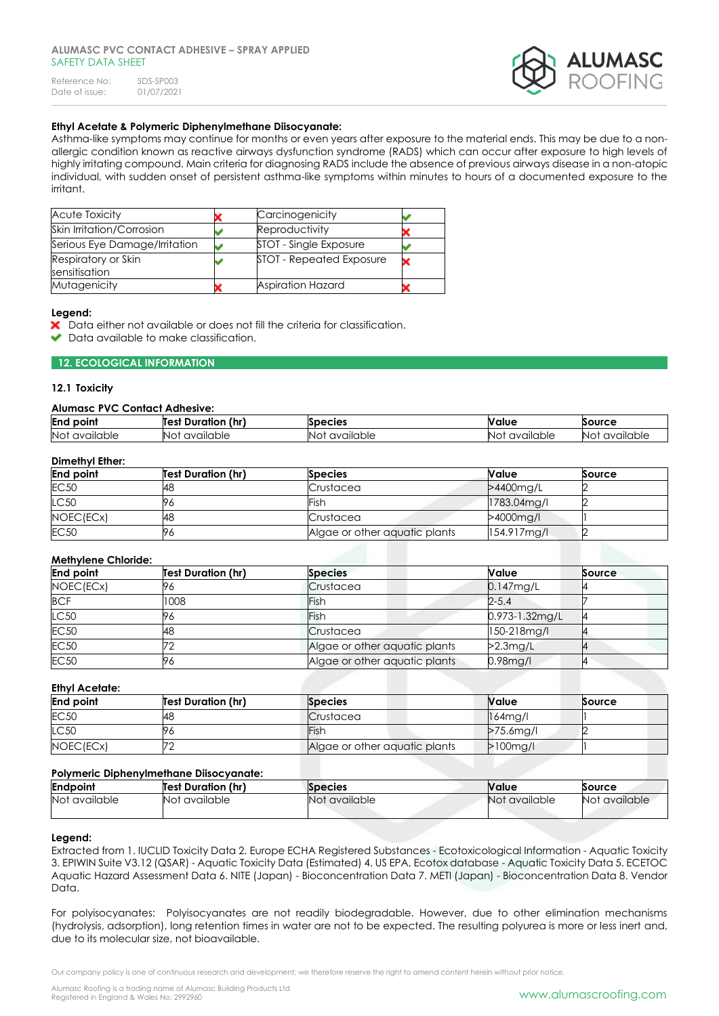

# **Ethyl Acetate & Polymeric Diphenylmethane Diisocyanate:**

Asthma-like symptoms may continue for months or even years after exposure to the material ends. This may be due to a nonallergic condition known as reactive airways dysfunction syndrome (RADS) which can occur after exposure to high levels of highly irritating compound. Main criteria for diagnosing RADS include the absence of previous airways disease in a non-atopic individual, with sudden onset of persistent asthma-like symptoms within minutes to hours of a documented exposure to the irritant.

| <b>Acute Toxicity</b>                | Carcinogenicity          |  |
|--------------------------------------|--------------------------|--|
| Skin Irritation/Corrosion            | Reproductivity           |  |
| Serious Eye Damage/Irritation        | STOT - Single Exposure   |  |
| Respiratory or Skin<br>sensitisation | STOT - Repeated Exposure |  |
| Mutagenicity                         | <b>Aspiration Hazard</b> |  |

#### **Legend:**

- Data either not available or does not fill the criteria for classification.
- Data available to make classification.

### **12. ECOLOGICAL INFORMATION**

### **12.1 Toxicity**

#### **Alumasc PVC Contact Adhesive:**

| End<br>point     | <br>(hr<br><b>Duration</b><br>Test | ecies               | <b>Nalue</b>                        | <b>source</b>          |
|------------------|------------------------------------|---------------------|-------------------------------------|------------------------|
| Not<br>available | ailable<br>71/1<br>NC.             | 'ailable<br>NĿ<br>∽ | <b>liable</b><br><b>AVAIL</b><br>NΟ | allable.<br>.IN C<br>w |

### **Dimethyl Ether:**

| <b>End point</b> | <b>Test Duration (hr)</b> | <b>Species</b>                | Value       | Source |
|------------------|---------------------------|-------------------------------|-------------|--------|
| <b>EC50</b>      | 48                        | Crustacea                     | >4400mg/L   |        |
| LC50             | Уć                        | Fish                          | 1783.04mg/l |        |
| NOEC(ECx)        | 48                        | Crustacea                     | >4000mg/l   |        |
| <b>EC50</b>      | 96                        | Algae or other aquatic plants | 154.917mg/l |        |

### **Methylene Chloride:**

| <b>End point</b> | <b>Test Duration (hr)</b> | <b>Species</b>                | Value          | <b>Source</b> |
|------------------|---------------------------|-------------------------------|----------------|---------------|
| NOEC(ECx)        | 96                        | Crustacea                     | $0.147$ mg/L   |               |
| <b>BCF</b>       | 1008                      | Fish                          | $2 - 5.4$      |               |
| LC50             | 96                        | Fish                          | 0.973-1.32mg/L |               |
| <b>EC50</b>      | 48                        | Crustacea                     | 150-218mg/l    |               |
| <b>EC50</b>      |                           | Algae or other aquatic plants | $>2.3$ mg/L    |               |
| <b>EC50</b>      | 96                        | Algae or other aquatic plants | 0.98mg/l       |               |

#### **Ethyl Acetate:**

| <b>End point</b> | <b>Test Duration (hr)</b> | <b>Species</b>                | <b>Nalue</b> | Source |
|------------------|---------------------------|-------------------------------|--------------|--------|
| <b>EC50</b>      | 48                        | Crustacea                     | $164$ mg/l   |        |
| LC50             | Уć                        | Fish                          | $>75.6$ mg/l |        |
| NOEC(ECx)        |                           | Algae or other aquatic plants | $>100$ mg/l  |        |

### **Polymeric Diphenylmethane Diisocyanate:**

| TURINGING DIDINGINTING MINUTE DINOCTOMORE. |                           |                |               |               |
|--------------------------------------------|---------------------------|----------------|---------------|---------------|
| <b>Endpoint</b>                            | <b>Test Duration (hr)</b> | <b>Species</b> | <b>Nalue</b>  | Source        |
| Not available                              | Not available             | Not available  | Not available | Not available |

### **Legend:**

Extracted from 1. IUCLID Toxicity Data 2. Europe ECHA Registered Substances - Ecotoxicological Information - Aquatic Toxicity 3. EPIWIN Suite V3.12 (QSAR) - Aquatic Toxicity Data (Estimated) 4. US EPA, Ecotox database - Aquatic Toxicity Data 5. ECETOC Aquatic Hazard Assessment Data 6. NITE (Japan) - Bioconcentration Data 7. METI (Japan) - Bioconcentration Data 8. Vendor Data.

For polyisocyanates: Polyisocyanates are not readily biodegradable. However, due to other elimination mechanisms (hydrolysis, adsorption), long retention times in water are not to be expected. The resulting polyurea is more or less inert and, due to its molecular size, not bioavailable.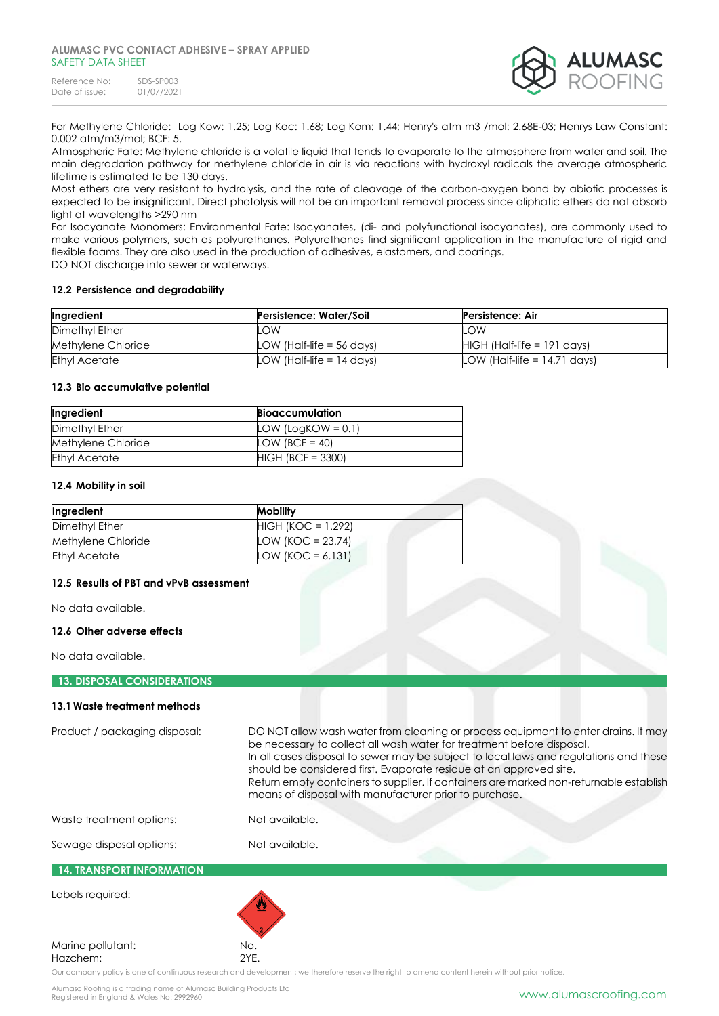| Reference No:  | SDS-SP003  |
|----------------|------------|
| Date of issue: | 01/07/2021 |



For Methylene Chloride: Log Kow: 1.25; Log Koc: 1.68; Log Kom: 1.44; Henry's atm m3 /mol: 2.68E-03; Henrys Law Constant: 0.002 atm/m3/mol; BCF: 5.

Atmospheric Fate: Methylene chloride is a volatile liquid that tends to evaporate to the atmosphere from water and soil. The main degradation pathway for methylene chloride in air is via reactions with hydroxyl radicals the average atmospheric lifetime is estimated to be 130 days.

Most ethers are very resistant to hydrolysis, and the rate of cleavage of the carbon-oxygen bond by abiotic processes is expected to be insignificant. Direct photolysis will not be an important removal process since aliphatic ethers do not absorb light at wavelengths >290 nm

For Isocyanate Monomers: Environmental Fate: Isocyanates, (di- and polyfunctional isocyanates), are commonly used to make various polymers, such as polyurethanes. Polyurethanes find significant application in the manufacture of rigid and flexible foams. They are also used in the production of adhesives, elastomers, and coatings.

DO NOT discharge into sewer or waterways.

### **12.2 Persistence and degradability**

| Ingredient           | <b>Persistence: Water/Soil</b> | Persistence: Air               |
|----------------------|--------------------------------|--------------------------------|
| Dimethyl Ether       | .OW                            | LOW                            |
| Methylene Chloride   | LOW (Half-life $=$ 56 days)    | $HIGH$ (Half-life = 191 days)  |
| <b>Ethyl Acetate</b> | LOW (Half-life $= 14$ days)    | LOW (Half-life $= 14.71$ days) |

#### **12.3 Bio accumulative potential**

| Ingredient           | <b>Bioaccumulation</b> |
|----------------------|------------------------|
| Dimethyl Ether       | LOW (LogKOW = $0.1$ )  |
| Methylene Chloride   | LOW (BCF = 40)         |
| <b>Ethyl Acetate</b> | $HIGH (BCF = 3300)$    |

### **12.4 Mobility in soil**

| Ingredient           | <b>Mobility</b>      |
|----------------------|----------------------|
| Dimethyl Ether       | $HIGH (KOC = 1.292)$ |
| Methylene Chloride   | LOW (KOC = $23.74$ ) |
| <b>Ethyl Acetate</b> | LOW (KOC = 6.131)    |

### **12.5 Results of PBT and vPvB assessment**

No data available.

### **12.6 Other adverse effects**

No data available.

### **13. DISPOSAL CONSIDERATIONS**

#### **13.1Waste treatment methods**

Product / packaging disposal: DO NOT allow wash water from cleaning or process equipment to enter drains. It may be necessary to collect all wash water for treatment before disposal. In all cases disposal to sewer may be subject to local laws and regulations and these should be considered first. Evaporate residue at an approved site. Return empty containers to supplier. If containers are marked non-returnable establish means of disposal with manufacturer prior to purchase.

Waste treatment options: Not available.

# Sewage disposal options: Not available.

# **14. TRANSPORT INFORMATION**

Labels required:

### Marine pollutant: No. Hazchem: 2YE.

Our company policy is one of continuous research and development; we therefore reserve the right to amend content herein without prior notice.

Alumasc Roofing is a trading name of Alumasc Building Products Ltd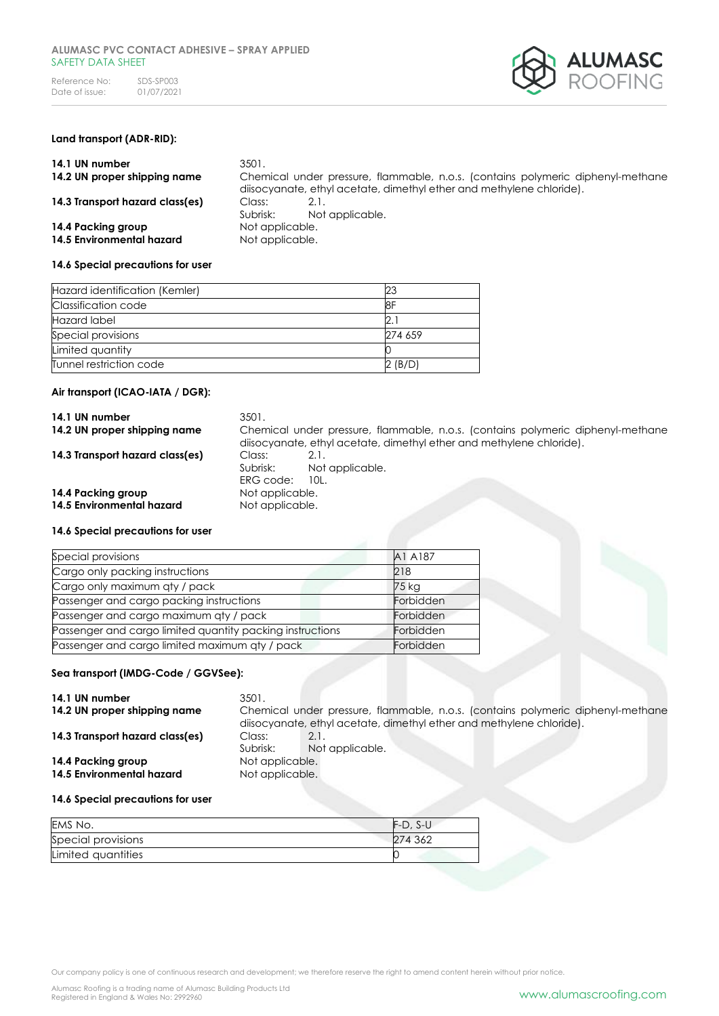

# **Land transport (ADR-RID):**

| 14.1 UN number<br>14.2 UN proper shipping name  | 3501.                              | Chemical under pressure, flammable, n.o.s. (contains polymeric diphenyl-methane<br>disocyanate, ethyl acetate, dimethyl ether and methylene chloride). |
|-------------------------------------------------|------------------------------------|--------------------------------------------------------------------------------------------------------------------------------------------------------|
| 14.3 Transport hazard class(es)                 | Class:<br>Subrisk:                 | 2.1.<br>Not applicable.                                                                                                                                |
| 14.4 Packing group<br>14.5 Environmental hazard | Not applicable.<br>Not applicable. |                                                                                                                                                        |

### **14.6 Special precautions for user**

| Hazard identification (Kemler) |         |
|--------------------------------|---------|
| Classification code            | 18F     |
| Hazard label                   |         |
| Special provisions             | 274 659 |
| Limited quantity               |         |
| Tunnel restriction code        | 2 (B/D) |

### **Air transport (ICAO-IATA / DGR):**

| 14.1 UN number<br>14.2 UN proper shipping name  | 3501.<br>Chemical under pressure, flammable, n.o.s. (contains polymeric diphenyl-methane<br>diisocyanate, ethyl acetate, dimethyl ether and methylene chloride). |  |
|-------------------------------------------------|------------------------------------------------------------------------------------------------------------------------------------------------------------------|--|
| 14.3 Transport hazard class(es)                 | Class:<br>2.1.<br>Subrisk:<br>Not applicable.<br>ERG code:<br>10L.                                                                                               |  |
| 14.4 Packing group<br>14.5 Environmental hazard | Not applicable.<br>Not applicable.                                                                                                                               |  |

### **14.6 Special precautions for user**

| A1 A187   |
|-----------|
| 218       |
| 75 kg     |
| Forbidden |
| Forbidden |
| Forbidden |
| Forbidden |
|           |

### **Sea transport (IMDG-Code / GGVSee):**

| 14.1 UN number                  | 3501.           |                                                                                 |
|---------------------------------|-----------------|---------------------------------------------------------------------------------|
| 14.2 UN proper shipping name    |                 | Chemical under pressure, flammable, n.o.s. (contains polymeric diphenyl-methane |
|                                 |                 | diisocyanate, ethyl acetate, dimethyl ether and methylene chloride).            |
| 14.3 Transport hazard class(es) | Class:          | 2.1.                                                                            |
|                                 | Subrisk:        | Not applicable.                                                                 |
| 14.4 Packing group              | Not applicable. |                                                                                 |
| 14.5 Environmental hazard       | Not applicable. |                                                                                 |
|                                 |                 |                                                                                 |

#### **14.6 Special precautions for user**

| EMS No.            | $F-D$ , S-U |  |
|--------------------|-------------|--|
| Special provisions | 274 362     |  |
| Limited quantities |             |  |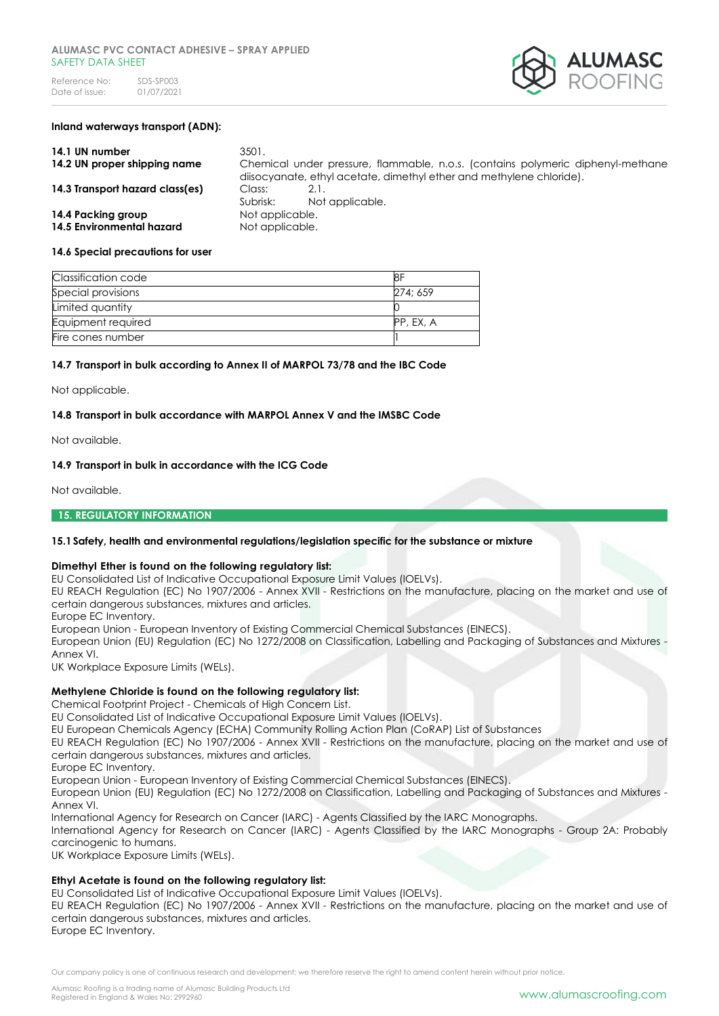

#### **Inland waterways transport (ADN):**

| 14.1 UN number                  | 3501.           |                                                                                                                                                        |
|---------------------------------|-----------------|--------------------------------------------------------------------------------------------------------------------------------------------------------|
| 14.2 UN proper shipping name    |                 | Chemical under pressure, flammable, n.o.s. (contains polymeric diphenyl-methane<br>disocyanate, ethyl acetate, dimethyl ether and methylene chloride). |
| 14.3 Transport hazard class(es) | Class:          |                                                                                                                                                        |
|                                 | Subrisk:        | Not applicable.                                                                                                                                        |
| 14.4 Packing group              | Not applicable. |                                                                                                                                                        |
| 14.5 Environmental hazard       | Not applicable. |                                                                                                                                                        |

#### **14.6 Special precautions for user**

| Classification code | 81        |
|---------------------|-----------|
| Special provisions  | 274: 659  |
| Limited quantity    |           |
| Equipment required  | PP, EX, A |
| Fire cones number   |           |

#### **14.7 Transport in bulk according to Annex II of MARPOL 73/78 and the IBC Code**

Not applicable.

#### **14.8 Transport in bulk accordance with MARPOL Annex V and the IMSBC Code**

Not available.

#### **14.9 Transport in bulk in accordance with the ICG Code**

Not available.

#### **15. REGULATORY INFORMATION**

### **15.1Safety, health and environmental regulations/legislation specific for the substance or mixture**

#### **Dimethyl Ether is found on the following regulatory list:**

EU Consolidated List of Indicative Occupational Exposure Limit Values (IOELVs).

EU REACH Regulation (EC) No 1907/2006 - Annex XVII - Restrictions on the manufacture, placing on the market and use of certain dangerous substances, mixtures and articles.

Europe EC Inventory.

European Union - European Inventory of Existing Commercial Chemical Substances (EINECS).

European Union (EU) Regulation (EC) No 1272/2008 on Classification, Labelling and Packaging of Substances and Mixtures - Annex VI.

UK Workplace Exposure Limits (WELs).

### **Methylene Chloride is found on the following regulatory list:**

Chemical Footprint Project - Chemicals of High Concern List.

EU Consolidated List of Indicative Occupational Exposure Limit Values (IOELVs).

EU European Chemicals Agency (ECHA) Community Rolling Action Plan (CoRAP) List of Substances

EU REACH Regulation (EC) No 1907/2006 - Annex XVII - Restrictions on the manufacture, placing on the market and use of certain dangerous substances, mixtures and articles.

Europe EC Inventory.

European Union - European Inventory of Existing Commercial Chemical Substances (EINECS).

European Union (EU) Regulation (EC) No 1272/2008 on Classification, Labelling and Packaging of Substances and Mixtures - Annex VI.

International Agency for Research on Cancer (IARC) - Agents Classified by the IARC Monographs.

International Agency for Research on Cancer (IARC) - Agents Classified by the IARC Monographs - Group 2A: Probably carcinogenic to humans.

UK Workplace Exposure Limits (WELs).

### **Ethyl Acetate is found on the following regulatory list:**

EU Consolidated List of Indicative Occupational Exposure Limit Values (IOELVs).

EU REACH Regulation (EC) No 1907/2006 - Annex XVII - Restrictions on the manufacture, placing on the market and use of certain dangerous substances, mixtures and articles.

Europe EC Inventory.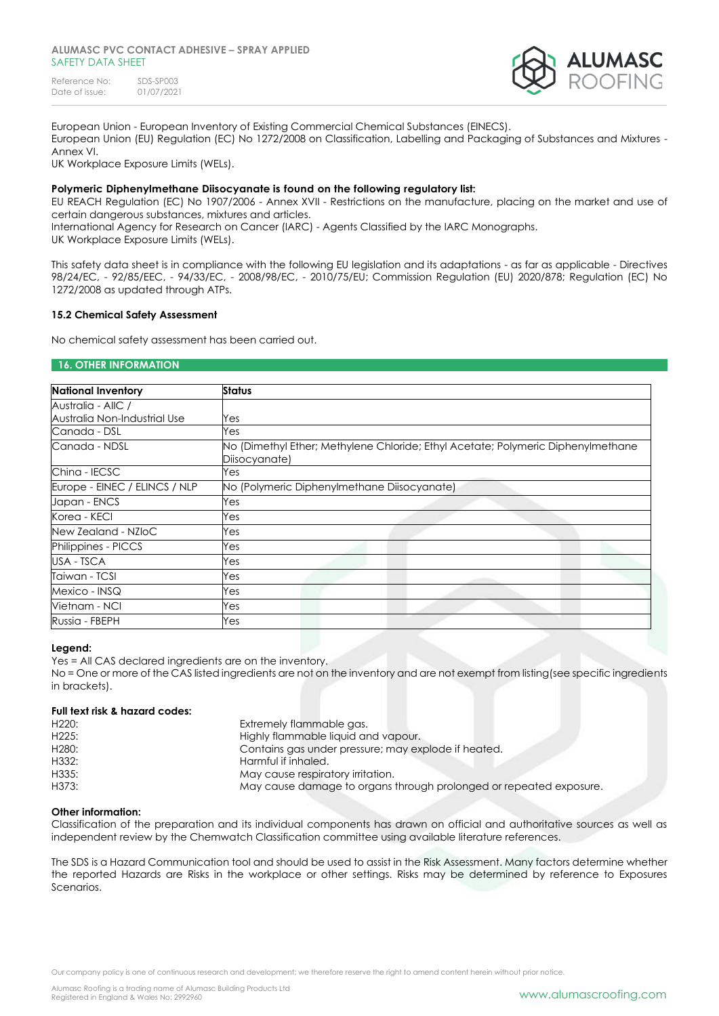

European Union - European Inventory of Existing Commercial Chemical Substances (EINECS). European Union (EU) Regulation (EC) No 1272/2008 on Classification, Labelling and Packaging of Substances and Mixtures - Annex VI.

UK Workplace Exposure Limits (WELs).

### **Polymeric Diphenylmethane Diisocyanate is found on the following regulatory list:**

EU REACH Regulation (EC) No 1907/2006 - Annex XVII - Restrictions on the manufacture, placing on the market and use of certain dangerous substances, mixtures and articles.

International Agency for Research on Cancer (IARC) - Agents Classified by the IARC Monographs. UK Workplace Exposure Limits (WELs).

This safety data sheet is in compliance with the following EU legislation and its adaptations - as far as applicable - Directives 98/24/EC, - 92/85/EEC, - 94/33/EC, - 2008/98/EC, - 2010/75/EU; Commission Regulation (EU) 2020/878; Regulation (EC) No 1272/2008 as updated through ATPs.

### **15.2 Chemical Safety Assessment**

No chemical safety assessment has been carried out.

### **16. OTHER INFORMATION**

| <b>National Inventory</b>     | Status                                                                                            |  |  |
|-------------------------------|---------------------------------------------------------------------------------------------------|--|--|
| Australia - AllC /            |                                                                                                   |  |  |
| Australia Non-Industrial Use  | Yes                                                                                               |  |  |
| Canada - DSL                  | Yes                                                                                               |  |  |
| Canada - NDSL                 | No (Dimethyl Ether; Methylene Chloride; Ethyl Acetate; Polymeric Diphenylmethane<br>Diisocyanate) |  |  |
| China - IECSC                 | Yes                                                                                               |  |  |
| Europe - EINEC / ELINCS / NLP | No (Polymeric Diphenylmethane Diisocyanate)                                                       |  |  |
| Japan - ENCS                  | Yes                                                                                               |  |  |
| Korea - KECI                  | Yes                                                                                               |  |  |
| New Zealand - NZIoC           | Yes                                                                                               |  |  |
| Philippines - PICCS           | Yes                                                                                               |  |  |
| USA - TSCA                    | Yes                                                                                               |  |  |
| Taiwan - TCSI                 | Yes                                                                                               |  |  |
| Mexico - INSQ                 | Yes                                                                                               |  |  |
| Vietnam - NCI                 | Yes                                                                                               |  |  |
| Russia - FBEPH                | Yes                                                                                               |  |  |

### **Legend:**

Yes = All CAS declared ingredients are on the inventory. No = One or more of the CAS listed ingredients are not on the inventory and are not exempt from listing(see specific ingredients in brackets).

### **Full text risk & hazard codes:**

| H <sub>220</sub> : | Extremely flammable gas.                                           |
|--------------------|--------------------------------------------------------------------|
| H225:              | Highly flammable liquid and vapour.                                |
| H <sub>280</sub> : | Contains gas under pressure; may explode if heated.                |
| H332:              | Harmful if inhaled.                                                |
| H335:              | May cause respiratory irritation.                                  |
| H373:              | May cause damage to organs through prolonged or repeated exposure. |

### **Other information:**

Classification of the preparation and its individual components has drawn on official and authoritative sources as well as independent review by the Chemwatch Classification committee using available literature references.

The SDS is a Hazard Communication tool and should be used to assist in the Risk Assessment. Many factors determine whether the reported Hazards are Risks in the workplace or other settings. Risks may be determined by reference to Exposures Scenarios.